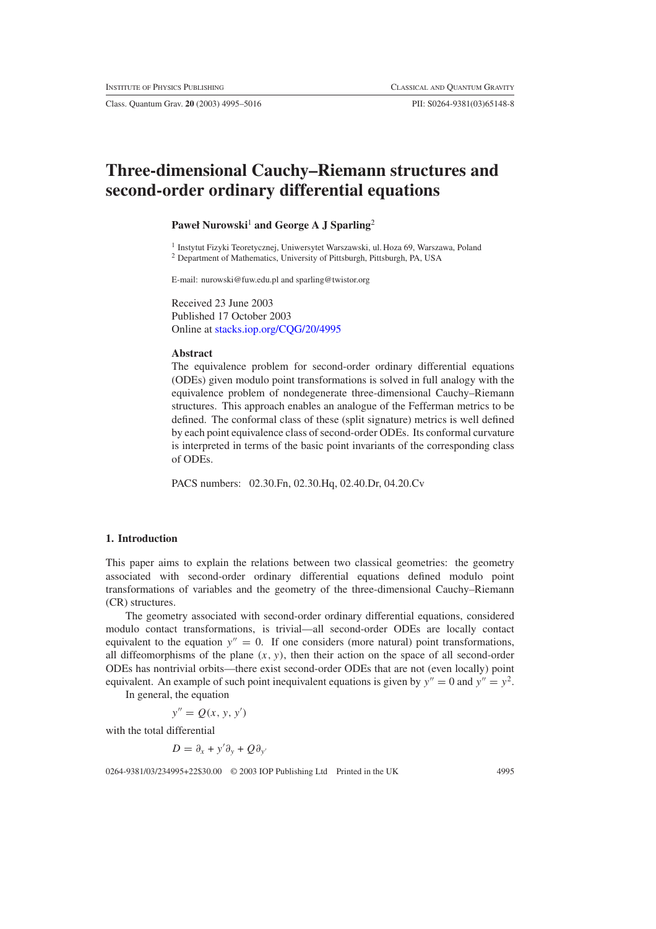Class. Quantum Grav. **20** (2003) 4995–5016 PII: S0264-9381(03)65148-8

# **Three-dimensional Cauchy–Riemann structures and second-order ordinary differential equations**

# **Paweł Nurowski<sup>1</sup> and George A J Sparling<sup>2</sup>**

<sup>1</sup> Instytut Fizyki Teoretycznej, Uniwersytet Warszawski, ul. Hoza 69, Warszawa, Poland <sup>2</sup> Department of Mathematics, University of Pittsburgh, Pittsburgh, PA, USA

E-mail: nurowski@fuw.edu.pl and sparling@twistor.org

Received 23 June 2003 Published 17 October 2003 Online at [stacks.iop.org/CQG/20/4995](http://stacks.iop.org/cq/20/4995)

#### **Abstract**

The equivalence problem for second-order ordinary differential equations (ODEs) given modulo point transformations is solved in full analogy with the equivalence problem of nondegenerate three-dimensional Cauchy–Riemann structures. This approach enables an analogue of the Fefferman metrics to be defined. The conformal class of these (split signature) metrics is well defined by each point equivalence class of second-order ODEs. Its conformal curvature is interpreted in terms of the basic point invariants of the corresponding class of ODEs.

PACS numbers: 02.30.Fn, 02.30.Hq, 02.40.Dr, 04.20.Cv

### **1. Introduction**

This paper aims to explain the relations between two classical geometries: the geometry associated with second-order ordinary differential equations defined modulo point transformations of variables and the geometry of the three-dimensional Cauchy–Riemann (CR) structures.

The geometry associated with second-order ordinary differential equations, considered modulo contact transformations, is trivial—all second-order ODEs are locally contact equivalent to the equation  $y'' = 0$ . If one considers (more natural) point transformations, all diffeomorphisms of the plane *(x, y)*, then their action on the space of all second-order ODEs has nontrivial orbits—there exist second-order ODEs that are not (even locally) point equivalent. An example of such point inequivalent equations is given by  $y'' = 0$  and  $y'' = y^2$ . In general, the equation

 $y'' = Q(x, y, y')$ 

with the total differential

$$
D = \partial_x + y' \partial_y + Q \partial_{y'}
$$

0264-9381/03/234995+22\$30.00 © 2003 IOP Publishing Ltd Printed in the UK 4995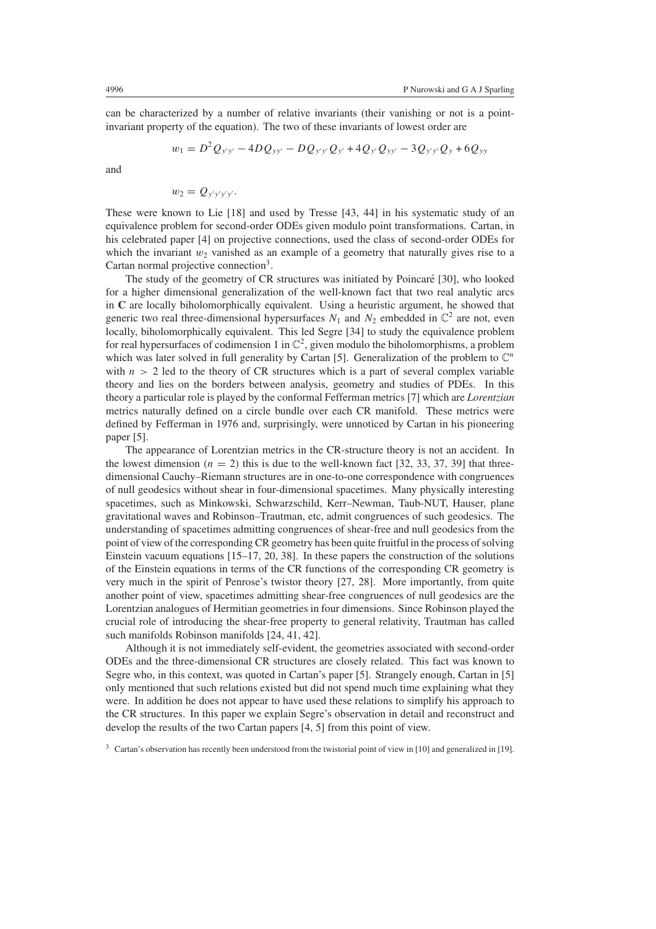can be characterized by a number of relative invariants (their vanishing or not is a pointinvariant property of the equation). The two of these invariants of lowest order are

$$
w_1 = D^2 Q_{y'y'} - 4D Q_{yy'} - D Q_{y'y'} Q_{y'} + 4Q_{y'} Q_{yy'} - 3Q_{y'y'} Q_y + 6Q_{yy'}
$$

and

$$
w_2=Q_{y'y'y'y'}.
$$

These were known to Lie [18] and used by Tresse [43, 44] in his systematic study of an equivalence problem for second-order ODEs given modulo point transformations. Cartan, in his celebrated paper [4] on projective connections, used the class of second-order ODEs for which the invariant  $w_2$  vanished as an example of a geometry that naturally gives rise to a Cartan normal projective connection<sup>3</sup>.

The study of the geometry of CR structures was initiated by Poincaré [30], who looked for a higher dimensional generalization of the well-known fact that two real analytic arcs in **C** are locally biholomorphically equivalent. Using a heuristic argument, he showed that generic two real three-dimensional hypersurfaces  $N_1$  and  $N_2$  embedded in  $\mathbb{C}^2$  are not, even locally, biholomorphically equivalent. This led Segre [34] to study the equivalence problem for real hypersurfaces of codimension 1 in  $\mathbb{C}^2$ , given modulo the biholomorphisms, a problem which was later solved in full generality by Cartan [5]. Generalization of the problem to  $\mathbb{C}^n$ with  $n > 2$  led to the theory of CR structures which is a part of several complex variable theory and lies on the borders between analysis, geometry and studies of PDEs. In this theory a particular role is played by the conformal Fefferman metrics [7] which are *Lorentzian* metrics naturally defined on a circle bundle over each CR manifold. These metrics were defined by Fefferman in 1976 and, surprisingly, were unnoticed by Cartan in his pioneering paper [5].

The appearance of Lorentzian metrics in the CR-structure theory is not an accident. In the lowest dimension  $(n = 2)$  this is due to the well-known fact [32, 33, 37, 39] that threedimensional Cauchy–Riemann structures are in one-to-one correspondence with congruences of null geodesics without shear in four-dimensional spacetimes. Many physically interesting spacetimes, such as Minkowski, Schwarzschild, Kerr–Newman, Taub-NUT, Hauser, plane gravitational waves and Robinson–Trautman, etc, admit congruences of such geodesics. The understanding of spacetimes admitting congruences of shear-free and null geodesics from the point of view of the corresponding CR geometry has been quite fruitful in the process of solving Einstein vacuum equations [15–17, 20, 38]. In these papers the construction of the solutions of the Einstein equations in terms of the CR functions of the corresponding CR geometry is very much in the spirit of Penrose's twistor theory [27, 28]. More importantly, from quite another point of view, spacetimes admitting shear-free congruences of null geodesics are the Lorentzian analogues of Hermitian geometries in four dimensions. Since Robinson played the crucial role of introducing the shear-free property to general relativity, Trautman has called such manifolds Robinson manifolds [24, 41, 42].

Although it is not immediately self-evident, the geometries associated with second-order ODEs and the three-dimensional CR structures are closely related. This fact was known to Segre who, in this context, was quoted in Cartan's paper [5]. Strangely enough, Cartan in [5] only mentioned that such relations existed but did not spend much time explaining what they were. In addition he does not appear to have used these relations to simplify his approach to the CR structures. In this paper we explain Segre's observation in detail and reconstruct and develop the results of the two Cartan papers [4, 5] from this point of view.

 $3$  Cartan's observation has recently been understood from the twistorial point of view in [10] and generalized in [19].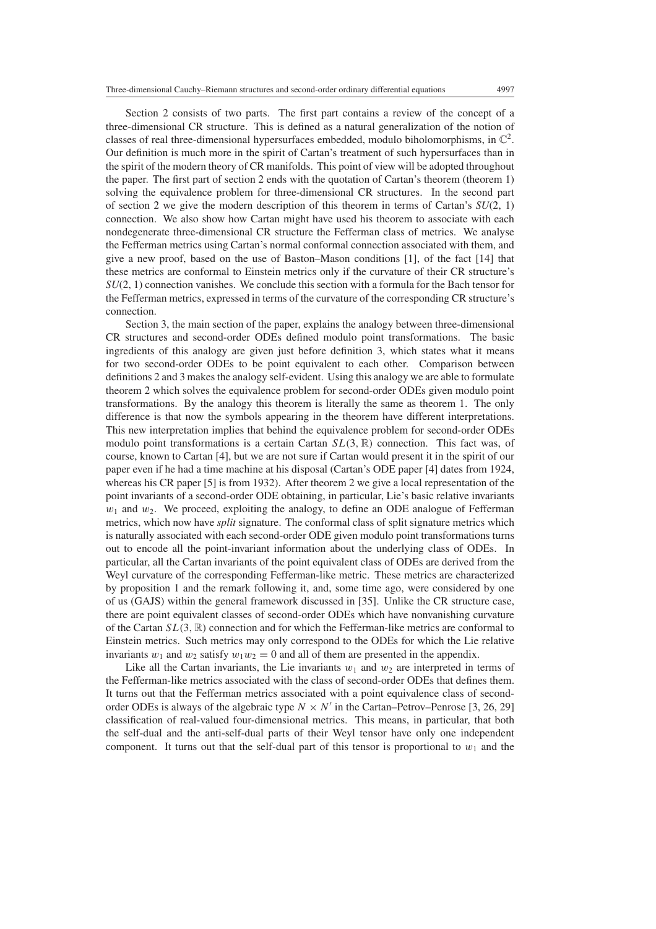Section 2 consists of two parts. The first part contains a review of the concept of a three-dimensional CR structure. This is defined as a natural generalization of the notion of classes of real three-dimensional hypersurfaces embedded, modulo biholomorphisms, in  $\mathbb{C}^2$ . Our definition is much more in the spirit of Cartan's treatment of such hypersurfaces than in the spirit of the modern theory of CR manifolds. This point of view will be adopted throughout the paper. The first part of section 2 ends with the quotation of Cartan's theorem (theorem 1) solving the equivalence problem for three-dimensional CR structures. In the second part of section 2 we give the modern description of this theorem in terms of Cartan's  $SU(2, 1)$ connection. We also show how Cartan might have used his theorem to associate with each nondegenerate three-dimensional CR structure the Fefferman class of metrics. We analyse the Fefferman metrics using Cartan's normal conformal connection associated with them, and give a new proof, based on the use of Baston–Mason conditions [1], of the fact [14] that these metrics are conformal to Einstein metrics only if the curvature of their CR structure's *SU*(2, 1) connection vanishes. We conclude this section with a formula for the Bach tensor for the Fefferman metrics, expressed in terms of the curvature of the corresponding CR structure's connection.

Section 3, the main section of the paper, explains the analogy between three-dimensional CR structures and second-order ODEs defined modulo point transformations. The basic ingredients of this analogy are given just before definition 3, which states what it means for two second-order ODEs to be point equivalent to each other. Comparison between definitions 2 and 3 makes the analogy self-evident. Using this analogy we are able to formulate theorem 2 which solves the equivalence problem for second-order ODEs given modulo point transformations. By the analogy this theorem is literally the same as theorem 1. The only difference is that now the symbols appearing in the theorem have different interpretations. This new interpretation implies that behind the equivalence problem for second-order ODEs modulo point transformations is a certain Cartan  $SL(3,\mathbb{R})$  connection. This fact was, of course, known to Cartan [4], but we are not sure if Cartan would present it in the spirit of our paper even if he had a time machine at his disposal (Cartan's ODE paper [4] dates from 1924, whereas his CR paper [5] is from 1932). After theorem 2 we give a local representation of the point invariants of a second-order ODE obtaining, in particular, Lie's basic relative invariants *w*<sup>1</sup> and *w*2. We proceed, exploiting the analogy, to define an ODE analogue of Fefferman metrics, which now have *split* signature. The conformal class of split signature metrics which is naturally associated with each second-order ODE given modulo point transformations turns out to encode all the point-invariant information about the underlying class of ODEs. In particular, all the Cartan invariants of the point equivalent class of ODEs are derived from the Weyl curvature of the corresponding Fefferman-like metric. These metrics are characterized by proposition 1 and the remark following it, and, some time ago, were considered by one of us (GAJS) within the general framework discussed in [35]. Unlike the CR structure case, there are point equivalent classes of second-order ODEs which have nonvanishing curvature of the Cartan *SL(*3*,* R*)* connection and for which the Fefferman-like metrics are conformal to Einstein metrics. Such metrics may only correspond to the ODEs for which the Lie relative invariants  $w_1$  and  $w_2$  satisfy  $w_1w_2 = 0$  and all of them are presented in the appendix.

Like all the Cartan invariants, the Lie invariants  $w_1$  and  $w_2$  are interpreted in terms of the Fefferman-like metrics associated with the class of second-order ODEs that defines them. It turns out that the Fefferman metrics associated with a point equivalence class of secondorder ODEs is always of the algebraic type  $N \times N'$  in the Cartan–Petrov–Penrose [3, 26, 29] classification of real-valued four-dimensional metrics. This means, in particular, that both the self-dual and the anti-self-dual parts of their Weyl tensor have only one independent component. It turns out that the self-dual part of this tensor is proportional to  $w_1$  and the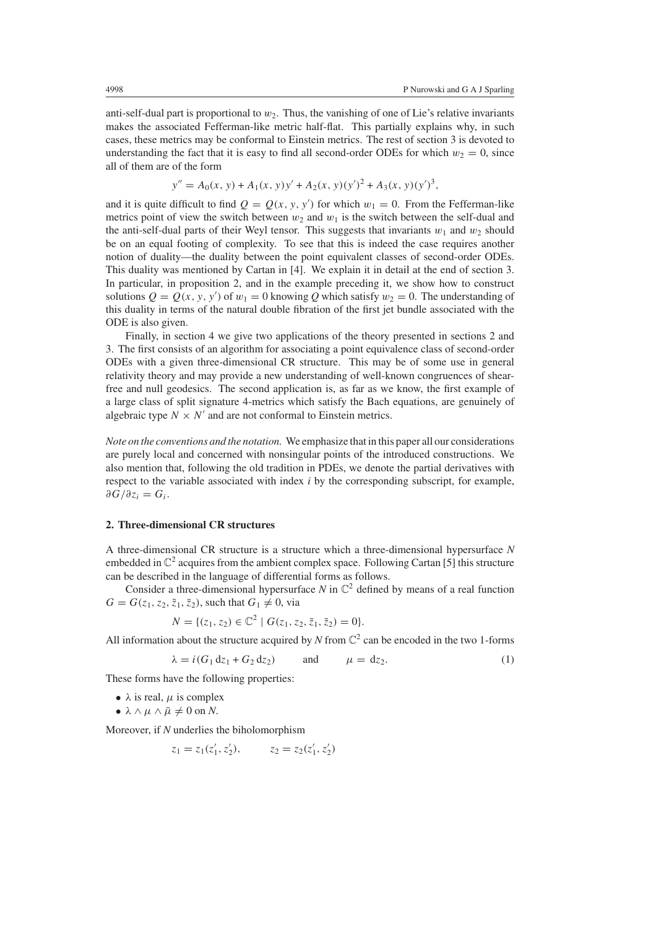anti-self-dual part is proportional to  $w_2$ . Thus, the vanishing of one of Lie's relative invariants makes the associated Fefferman-like metric half-flat. This partially explains why, in such cases, these metrics may be conformal to Einstein metrics. The rest of section 3 is devoted to understanding the fact that it is easy to find all second-order ODEs for which  $w_2 = 0$ , since all of them are of the form

$$
y'' = A_0(x, y) + A_1(x, y)y' + A_2(x, y)(y')^2 + A_3(x, y)(y')^3,
$$

and it is quite difficult to find  $Q = Q(x, y, y')$  for which  $w_1 = 0$ . From the Fefferman-like metrics point of view the switch between  $w_2$  and  $w_1$  is the switch between the self-dual and the anti-self-dual parts of their Weyl tensor. This suggests that invariants  $w_1$  and  $w_2$  should be on an equal footing of complexity. To see that this is indeed the case requires another notion of duality—the duality between the point equivalent classes of second-order ODEs. This duality was mentioned by Cartan in [4]. We explain it in detail at the end of section 3. In particular, in proposition 2, and in the example preceding it, we show how to construct solutions  $Q = Q(x, y, y')$  of  $w_1 = 0$  knowing Q which satisfy  $w_2 = 0$ . The understanding of this duality in terms of the natural double fibration of the first jet bundle associated with the ODE is also given.

Finally, in section 4 we give two applications of the theory presented in sections 2 and 3. The first consists of an algorithm for associating a point equivalence class of second-order ODEs with a given three-dimensional CR structure. This may be of some use in general relativity theory and may provide a new understanding of well-known congruences of shearfree and null geodesics. The second application is, as far as we know, the first example of a large class of split signature 4-metrics which satisfy the Bach equations, are genuinely of algebraic type  $N \times N'$  and are not conformal to Einstein metrics.

*Note on the conventions and the notation.* We emphasize that in this paper all our considerations are purely local and concerned with nonsingular points of the introduced constructions. We also mention that, following the old tradition in PDEs, we denote the partial derivatives with respect to the variable associated with index *i* by the corresponding subscript, for example,  $∂G/∂z<sub>i</sub> = G<sub>i</sub>$ .

# **2. Three-dimensional CR structures**

A three-dimensional CR structure is a structure which a three-dimensional hypersurface *N* embedded in  $\mathbb{C}^2$  acquires from the ambient complex space. Following Cartan [5] this structure can be described in the language of differential forms as follows.

Consider a three-dimensional hypersurface  $N$  in  $\mathbb{C}^2$  defined by means of a real function  $G = G(z_1, z_2, \bar{z}_1, \bar{z}_2)$ , such that  $G_1 \neq 0$ , via

$$
N = \{ (z_1, z_2) \in \mathbb{C}^2 \mid G(z_1, z_2, \bar{z}_1, \bar{z}_2) = 0 \}.
$$

<span id="page-3-0"></span>All information about the structure acquired by *N* from  $\mathbb{C}^2$  can be encoded in the two 1-forms

$$
\lambda = i(G_1 d z_1 + G_2 d z_2) \qquad \text{and} \qquad \mu = dz_2. \tag{1}
$$

These forms have the following properties:

- $\lambda$  is real,  $\mu$  is complex
- $\bullet \lambda \wedge \mu \wedge \bar{\mu} \neq 0 \text{ on } N.$

Moreover, if *N* underlies the biholomorphism

$$
z_1 = z_1(z'_1, z'_2), \qquad z_2 = z_2(z'_1, z'_2)
$$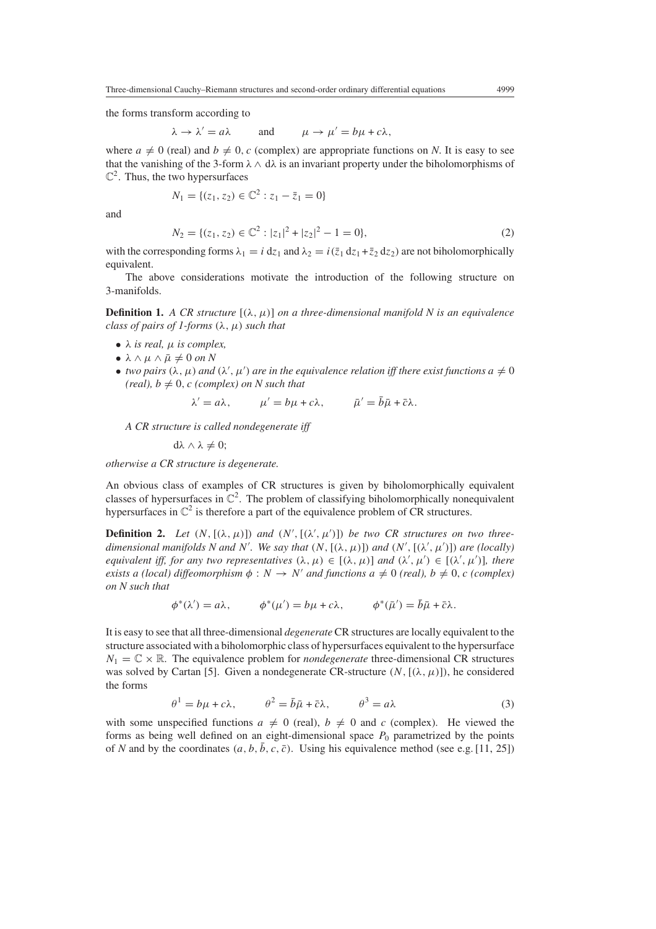the forms transform according to

$$
\lambda \to \lambda' = a\lambda
$$
 and  $\mu \to \mu' = b\mu + c\lambda$ ,

where  $a \neq 0$  (real) and  $b \neq 0$ , c (complex) are appropriate functions on *N*. It is easy to see that the vanishing of the 3-form  $\lambda \wedge d\lambda$  is an invariant property under the biholomorphisms of  $\mathbb{C}^2$ . Thus, the two hypersurfaces

$$
N_1 = \{ (z_1, z_2) \in \mathbb{C}^2 : z_1 - \bar{z}_1 = 0 \}
$$

<span id="page-4-1"></span>and

$$
N_2 = \{ (z_1, z_2) \in \mathbb{C}^2 : |z_1|^2 + |z_2|^2 - 1 = 0 \},\tag{2}
$$

with the corresponding forms  $\lambda_1 = i dz_1$  and  $\lambda_2 = i(\overline{z}_1 dz_1 + \overline{z}_2 dz_2)$  are not biholomorphically equivalent.

The above considerations motivate the introduction of the following structure on 3-manifolds.

**Definition 1.** *A CR structure*  $[(\lambda, \mu)]$  *on a three-dimensional manifold N is an equivalence class of pairs of 1-forms*  $(\lambda, \mu)$  *such that* 

- $\lambda$  *is real,*  $\mu$  *is complex,*
- $\bullet \lambda \wedge \mu \wedge \bar{\mu} \neq 0 \text{ on } N$
- *two pairs*  $(\lambda, \mu)$  *and*  $(\lambda', \mu')$  *are in the equivalence relation iff there exist functions*  $a \neq 0$  $(\text{real})$ ,  $b \neq 0$ ,  $c$  (complex) on N such that

$$
\lambda' = a\lambda, \qquad \mu' = b\mu + c\lambda, \qquad \bar{\mu}' = \bar{b}\bar{\mu} + \bar{c}\lambda.
$$

*A CR structure is called nondegenerate iff*

$$
d\lambda \wedge \lambda \neq 0;
$$

*otherwise a CR structure is degenerate.*

An obvious class of examples of CR structures is given by biholomorphically equivalent classes of hypersurfaces in  $\mathbb{C}^2$ . The problem of classifying biholomorphically nonequivalent hypersurfaces in  $\mathbb{C}^2$  is therefore a part of the equivalence problem of CR structures.

**Definition 2.** Let  $(N, [(\lambda, \mu)])$  and  $(N', [(\lambda', \mu')])$  be two CR structures on two three*dimensional manifolds N and N'. We say that*  $(N, [(\lambda, \mu)])$  *and*  $(N', [(\lambda', \mu')])$  *are (locally) equivalent iff, for any two representatives*  $(\lambda, \mu) \in [(\lambda, \mu)]$  *and*  $(\lambda', \mu') \in [(\lambda', \mu')]$ *, there exists a (local) diffeomorphism*  $\phi : N \to N'$  *and functions*  $a \neq 0$  *(real),*  $b \neq 0$ *, c (complex) on N such that*

$$
\phi^*(\lambda') = a\lambda, \qquad \phi^*(\mu') = b\mu + c\lambda, \qquad \phi^*(\bar{\mu}') = \bar{b}\bar{\mu} + \bar{c}\lambda.
$$

It is easy to see that all three-dimensional *degenerate* CR structures are locally equivalent to the structure associated with a biholomorphic class of hypersurfaces equivalent to the hypersurface  $N_1 = \mathbb{C} \times \mathbb{R}$ . The equivalence problem for *nondegenerate* three-dimensional CR structures was solved by Cartan [5]. Given a nondegenerate CR-structure  $(N, [(\lambda, \mu))$ , he considered the forms

$$
\theta^1 = b\mu + c\lambda, \qquad \theta^2 = \bar{b}\bar{\mu} + \bar{c}\lambda, \qquad \theta^3 = a\lambda \tag{3}
$$

<span id="page-4-0"></span>with some unspecified functions  $a \neq 0$  (real),  $b \neq 0$  and *c* (complex). He viewed the forms as being well defined on an eight-dimensional space  $P_0$  parametrized by the points of *N* and by the coordinates  $(a, b, \bar{b}, c, \bar{c})$ . Using his equivalence method (see e.g. [11, 25])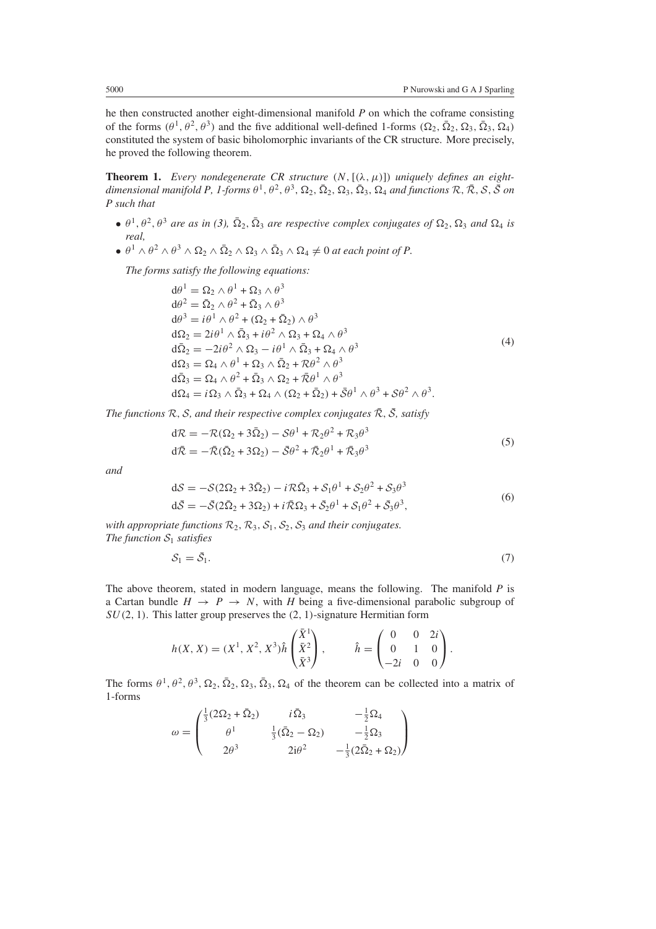he then constructed another eight-dimensional manifold *P* on which the coframe consisting of the forms  $(θ<sup>1</sup>, θ<sup>2</sup>, θ<sup>3</sup>)$  and the five additional well-defined 1-forms  $(Ω<sub>2</sub>, Ω<sub>2</sub>, Ω<sub>3</sub>, Ω<sub>4</sub>)$ constituted the system of basic biholomorphic invariants of the CR structure. More precisely, he proved the following theorem.

**Theorem 1.** *Every nondegenerate CR structure*  $(N, [(\lambda, \mu)])$  *uniquely defines an eightdimensional manifold P, 1-forms*  $\theta^1$ ,  $\theta^2$ ,  $\theta^3$ ,  $\Omega_2$ ,  $\overline{\Omega}_2$ ,  $\Omega_3$ ,  $\overline{\Omega}_3$ ,  $\Omega_4$  *and functions*  $\mathcal{R}, \overline{\mathcal{R}}, \mathcal{S}, \overline{\mathcal{S}}$  *on P such that*

- $\theta^1$ ,  $\theta^2$ ,  $\theta^3$  *are as in [\(3\)](#page-4-0)*,  $\overline{\Omega}_2$ ,  $\overline{\Omega}_3$  *are respective complex conjugates of*  $\Omega_2$ ,  $\Omega_3$  *and*  $\Omega_4$  *is real,*
- $\bullet$   $\theta^1 \wedge \theta^2 \wedge \theta^3 \wedge \Omega_2 \wedge \overline{\Omega}_2 \wedge \Omega_3 \wedge \overline{\Omega}_3 \wedge \Omega_4 \neq 0$  at each point of P.

<span id="page-5-0"></span>*The forms satisfy the following equations:*

$$
d\theta^{1} = \Omega_{2} \wedge \theta^{1} + \Omega_{3} \wedge \theta^{3}
$$
  
\n
$$
d\theta^{2} = \overline{\Omega}_{2} \wedge \theta^{2} + \overline{\Omega}_{3} \wedge \theta^{3}
$$
  
\n
$$
d\theta^{3} = i\theta^{1} \wedge \theta^{2} + (\Omega_{2} + \overline{\Omega}_{2}) \wedge \theta^{3}
$$
  
\n
$$
d\Omega_{2} = 2i\theta^{1} \wedge \overline{\Omega}_{3} + i\theta^{2} \wedge \Omega_{3} + \Omega_{4} \wedge \theta^{3}
$$
  
\n
$$
d\overline{\Omega}_{2} = -2i\theta^{2} \wedge \Omega_{3} - i\theta^{1} \wedge \overline{\Omega}_{3} + \Omega_{4} \wedge \theta^{3}
$$
  
\n
$$
d\Omega_{3} = \Omega_{4} \wedge \theta^{1} + \Omega_{3} \wedge \overline{\Omega}_{2} + \mathcal{R}\theta^{2} \wedge \theta^{3}
$$
  
\n
$$
d\overline{\Omega}_{3} = \Omega_{4} \wedge \theta^{2} + \overline{\Omega}_{3} \wedge \Omega_{2} + \overline{\mathcal{R}}\theta^{1} \wedge \theta^{3}
$$
  
\n
$$
d\Omega_{4} = i\Omega_{3} \wedge \overline{\Omega}_{3} + \Omega_{4} \wedge (\Omega_{2} + \overline{\Omega}_{2}) + \overline{\mathcal{S}}\theta^{1} \wedge \theta^{3} + \mathcal{S}\theta^{2} \wedge \theta^{3}.
$$

<span id="page-5-1"></span>*The functions*  $\mathcal{R}, \mathcal{S},$  *and their respective complex conjugates*  $\overline{\mathcal{R}}, \overline{\mathcal{S}}$ *, satisfy* 

$$
d\mathcal{R} = -\mathcal{R}(\Omega_2 + 3\bar{\Omega}_2) - S\theta^1 + \mathcal{R}_2\theta^2 + \mathcal{R}_3\theta^3
$$
  
\n
$$
d\bar{\mathcal{R}} = -\bar{\mathcal{R}}(\bar{\Omega}_2 + 3\Omega_2) - \bar{S}\theta^2 + \bar{\mathcal{R}}_2\theta^1 + \bar{\mathcal{R}}_3\theta^3
$$
\n(5)

<span id="page-5-2"></span>*and*

$$
dS = -S(2\Omega_2 + 3\overline{\Omega}_2) - iR\overline{\Omega}_3 + S_1\theta^1 + S_2\theta^2 + S_3\theta^3
$$
  
\n
$$
d\overline{S} = -\overline{S}(2\overline{\Omega}_2 + 3\Omega_2) + iR\overline{S}2 + \overline{S}_2\theta^1 + S_1\theta^2 + \overline{S}_3\theta^3,
$$
\n(6)

*with appropriate functions*  $\mathcal{R}_2$ ,  $\mathcal{R}_3$ ,  $\mathcal{S}_1$ ,  $\mathcal{S}_2$ ,  $\mathcal{S}_3$  *and their conjugates. The function*  $S_1$  *satisfies* 

$$
S_1 = \bar{S}_1. \tag{7}
$$

The above theorem, stated in modern language, means the following. The manifold *P* is a Cartan bundle  $H \rightarrow P \rightarrow N$ , with *H* being a five-dimensional parabolic subgroup of *SU(*2*,* 1*)*. This latter group preserves the *(*2*,* 1*)*-signature Hermitian form

$$
h(X, X) = (X1, X2, X3)\hat{h} \begin{pmatrix} \bar{X}1 \\ \bar{X}2 \\ \bar{X}3 \end{pmatrix}, \qquad \hat{h} = \begin{pmatrix} 0 & 0 & 2i \\ 0 & 1 & 0 \\ -2i & 0 & 0 \end{pmatrix}.
$$

The forms  $\theta^1$ ,  $\theta^2$ ,  $\theta^3$ ,  $\Omega_2$ ,  $\overline{\Omega}_2$ ,  $\Omega_3$ ,  $\overline{\Omega}_3$ ,  $\Omega_4$  of the theorem can be collected into a matrix of 1-forms

$$
\omega = \begin{pmatrix} \frac{1}{3} (2\Omega_2 + \bar{\Omega}_2) & i\bar{\Omega}_3 & -\frac{1}{2}\Omega_4 \\ \theta^1 & \frac{1}{3} (\bar{\Omega}_2 - \Omega_2) & -\frac{1}{2}\Omega_3 \\ 2\theta^3 & 2i\theta^2 & -\frac{1}{3} (2\bar{\Omega}_2 + \Omega_2) \end{pmatrix}
$$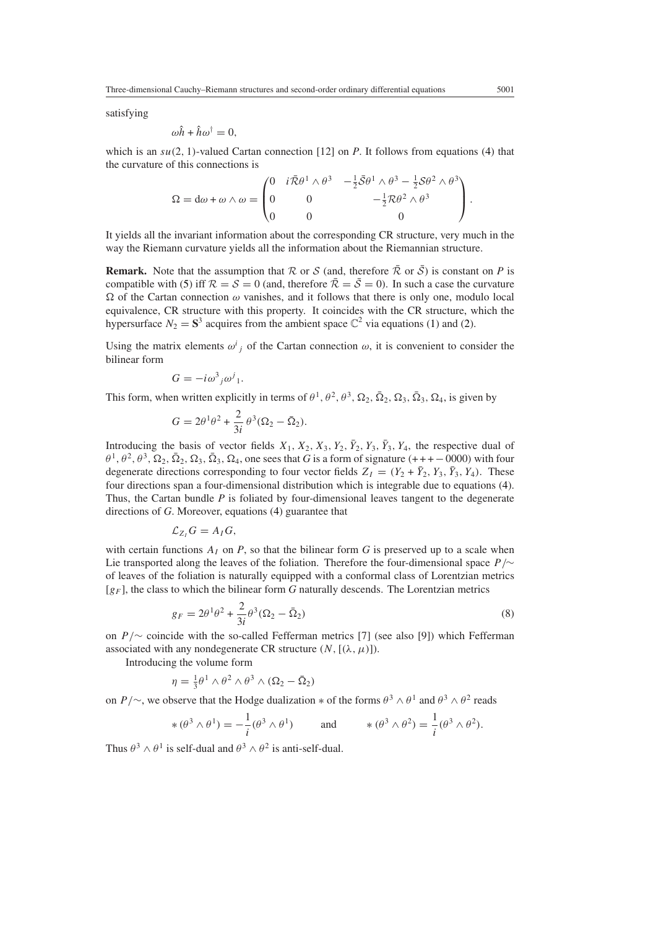satisfying

$$
\omega \hat{h} + \hat{h} \omega^{\dagger} = 0,
$$

which is an  $su(2, 1)$ -valued Cartan connection [12] on *P*. It follows from equations [\(4\)](#page-5-0) that the curvature of this connections is

$$
\Omega = d\omega + \omega \wedge \omega = \begin{pmatrix} 0 & i\overline{\mathcal{R}}\theta^1 \wedge \theta^3 & -\frac{1}{2}\overline{\mathcal{S}}\theta^1 \wedge \theta^3 - \frac{1}{2}\mathcal{S}\theta^2 \wedge \theta^3 \\ 0 & 0 & -\frac{1}{2}\mathcal{R}\theta^2 \wedge \theta^3 \\ 0 & 0 & 0 \end{pmatrix}.
$$

It yields all the invariant information about the corresponding CR structure, very much in the way the Riemann curvature yields all the information about the Riemannian structure.

**Remark.** Note that the assumption that R or S (and, therefore  $\overline{R}$  or  $\overline{S}$ ) is constant on P is compatible with [\(5\)](#page-5-1) iff  $\mathcal{R} = \mathcal{S} = 0$  (and, therefore  $\overline{\mathcal{R}} = \overline{\mathcal{S}} = 0$ ). In such a case the curvature  $\Omega$  of the Cartan connection  $\omega$  vanishes, and it follows that there is only one, modulo local equivalence, CR structure with this property. It coincides with the CR structure, which the hypersurface  $N_2 = S^3$  acquires from the ambient space  $\mathbb{C}^2$  via equations [\(1\)](#page-3-0) and [\(2\)](#page-4-1).

Using the matrix elements  $\omega^i_j$  of the Cartan connection  $\omega$ , it is convenient to consider the bilinear form

$$
G = -i\omega^3{}_j\omega^j{}_1.
$$

This form, when written explicitly in terms of  $\theta^1$ ,  $\theta^2$ ,  $\theta^3$ ,  $\Omega_2$ ,  $\overline{\Omega}_2$ ,  $\Omega_3$ ,  $\overline{\Omega}_3$ ,  $\Omega_4$ , is given by

$$
G = 2\theta^1\theta^2 + \frac{2}{3i}\theta^3(\Omega_2 - \bar{\Omega}_2).
$$

Introducing the basis of vector fields  $X_1, X_2, X_3, Y_2, \overline{Y}_2, Y_3, \overline{Y}_3, Y_4$ , the respective dual of  $\theta^1$ ,  $\theta^2$ ,  $\theta^3$ ,  $\Omega_2$ ,  $\overline{\Omega}_2$ ,  $\Omega_3$ ,  $\overline{\Omega}_3$ ,  $\Omega_4$ , one sees that *G* is a form of signature (+++−0000) with four degenerate directions corresponding to four vector fields  $Z_I = (Y_2 + \bar{Y}_2, Y_3, \bar{Y}_3, Y_4)$ . These four directions span a four-dimensional distribution which is integrable due to equations [\(4\)](#page-5-0). Thus, the Cartan bundle *P* is foliated by four-dimensional leaves tangent to the degenerate directions of *G*. Moreover, equations [\(4\)](#page-5-0) guarantee that

$$
\mathcal{L}_{Z_I}G=A_I G,
$$

with certain functions  $A_I$  on  $P$ , so that the bilinear form  $G$  is preserved up to a scale when Lie transported along the leaves of the foliation. Therefore the four-dimensional space *P /*∼ of leaves of the foliation is naturally equipped with a conformal class of Lorentzian metrics [*gF* ], the class to which the bilinear form *G* naturally descends. The Lorentzian metrics

$$
g_F = 2\theta^1\theta^2 + \frac{2}{3i}\theta^3(\Omega_2 - \bar{\Omega}_2)
$$
\n
$$
(8)
$$

<span id="page-6-0"></span>on *P /*∼ coincide with the so-called Fefferman metrics [7] (see also [9]) which Fefferman associated with any nondegenerate CR structure  $(N,[(\lambda, \mu)]).$ 

Introducing the volume form

$$
\eta = \frac{1}{3}\theta^1 \wedge \theta^2 \wedge \theta^3 \wedge (\Omega_2 - \overline{\Omega}_2)
$$

on *P*/∼, we observe that the Hodge dualization  $*$  of the forms  $\theta^3 \wedge \theta^1$  and  $\theta^3 \wedge \theta^2$  reads

$$
\ast (\theta^3 \wedge \theta^1) = -\frac{1}{i} (\theta^3 \wedge \theta^1) \quad \text{and} \quad \ast (\theta^3 \wedge \theta^2) = \frac{1}{i} (\theta^3 \wedge \theta^2).
$$

Thus  $\theta^3 \wedge \theta^1$  is self-dual and  $\theta^3 \wedge \theta^2$  is anti-self-dual.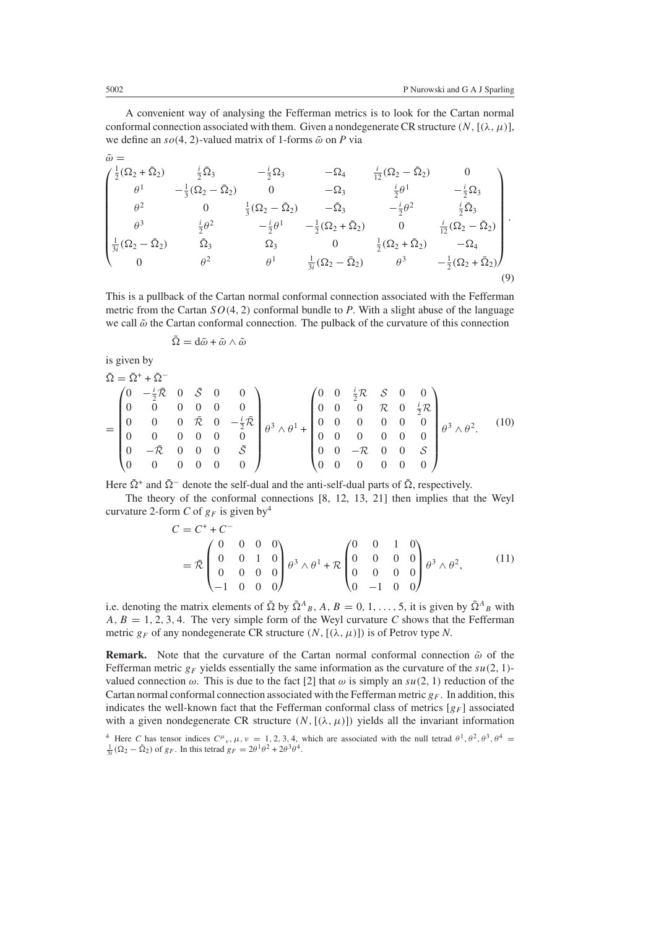A convenient way of analysing the Fefferman metrics is to look for the Cartan normal conformal connection associated with them. Given a nondegenerate CR structure  $(N,[(\lambda, \mu)],$ we define an  $so(4, 2)$ -valued matrix of 1-forms  $\tilde{\omega}$  on *P* via

<span id="page-7-0"></span>
$$
\begin{pmatrix}\n\frac{1}{2}(\Omega_{2} + \bar{\Omega}_{2}) & \frac{i}{2}\bar{\Omega}_{3} & -\frac{i}{2}\Omega_{3} & -\Omega_{4} & \frac{i}{12}(\Omega_{2} - \bar{\Omega}_{2}) & 0 \\
\theta^{1} & -\frac{1}{3}(\Omega_{2} - \bar{\Omega}_{2}) & 0 & -\Omega_{3} & \frac{i}{2}\theta^{1} & -\frac{i}{2}\Omega_{3} \\
\theta^{2} & 0 & \frac{1}{3}(\Omega_{2} - \bar{\Omega}_{2}) & -\bar{\Omega}_{3} & -\frac{i}{2}\theta^{2} & \frac{i}{2}\bar{\Omega}_{3} \\
\theta^{3} & \frac{i}{2}\theta^{2} & -\frac{i}{2}\theta^{1} & -\frac{1}{2}(\Omega_{2} + \bar{\Omega}_{2}) & 0 & \frac{i}{12}(\Omega_{2} - \bar{\Omega}_{2}) \\
\frac{1}{3i}(\Omega_{2} - \bar{\Omega}_{2}) & \bar{\Omega}_{3} & \Omega_{3} & 0 & \frac{1}{2}(\Omega_{2} + \bar{\Omega}_{2}) & -\Omega_{4} \\
0 & \theta^{2} & \theta^{1} & \frac{1}{3i}(\Omega_{2} - \bar{\Omega}_{2}) & \theta^{3} & -\frac{1}{2}(\Omega_{2} + \bar{\Omega}_{2})\n\end{pmatrix}.
$$
\n(9)

This is a pullback of the Cartan normal conformal connection associated with the Fefferman metric from the Cartan *SO(*4*,* 2*)* conformal bundle to *P*. With a slight abuse of the language we call  $\tilde{\omega}$  the Cartan conformal connection. The pulback of the curvature of this connection

$$
\tilde{\Omega} = \mathrm{d} \tilde{\omega} + \tilde{\omega} \wedge \tilde{\omega}
$$

is given by

$$
\begin{split}\n\tilde{\Omega} &= \tilde{\Omega}^+ + \tilde{\Omega}^- \\
&= \begin{pmatrix}\n0 & -\frac{i}{2}\bar{\mathcal{R}} & 0 & \bar{\mathcal{S}} & 0 & 0 \\
0 & 0 & 0 & 0 & 0 \\
0 & 0 & 0 & \bar{\mathcal{R}} & 0 & -\frac{i}{2}\bar{\mathcal{R}} \\
0 & 0 & 0 & 0 & 0 \\
0 & -\bar{\mathcal{R}} & 0 & 0 & 0 \\
0 & 0 & 0 & 0 & 0\n\end{pmatrix} \theta^3 \wedge \theta^1 + \begin{pmatrix}\n0 & 0 & \frac{i}{2}\mathcal{R} & \mathcal{S} & 0 & 0 \\
0 & 0 & 0 & \mathcal{R} & 0 & \frac{i}{2}\mathcal{R} \\
0 & 0 & 0 & 0 & 0 \\
0 & 0 & 0 & 0 & 0 \\
0 & 0 & -\mathcal{R} & 0 & 0 \\
0 & 0 & 0 & 0 & 0\n\end{pmatrix} \theta^3 \wedge \theta^1 + \begin{pmatrix}\n0 & 0 & \frac{i}{2}\mathcal{R} & \mathcal{S} & 0 & 0 \\
0 & 0 & 0 & \mathcal{R} & 0 & \frac{i}{2}\mathcal{R} \\
0 & 0 & 0 & 0 & 0 \\
0 & 0 & -\mathcal{R} & 0 & 0 & \mathcal{S}\n\end{pmatrix} \theta^3 \wedge \theta^2. \n\end{split} \tag{10}
$$

Here  $\tilde{\Omega}^+$  and  $\tilde{\Omega}^-$  denote the self-dual and the anti-self-dual parts of  $\tilde{\Omega}$ , respectively.

<span id="page-7-1"></span>The theory of the conformal connections [8, 12, 13, 21] then implies that the Weyl curvature 2-form *C* of  $g_F$  is given by<sup>4</sup>

$$
C = C^{+} + C^{-}
$$
  
=  $\bar{\mathcal{R}} \begin{pmatrix} 0 & 0 & 0 & 0 \\ 0 & 0 & 1 & 0 \\ 0 & 0 & 0 & 0 \\ -1 & 0 & 0 & 0 \end{pmatrix} \theta^{3} \wedge \theta^{1} + \mathcal{R} \begin{pmatrix} 0 & 0 & 1 & 0 \\ 0 & 0 & 0 & 0 \\ 0 & 0 & 0 & 0 \\ 0 & -1 & 0 & 0 \end{pmatrix} \theta^{3} \wedge \theta^{2},$  (11)

i.e. denoting the matrix elements of  $\tilde{\Omega}$  by  $\tilde{\Omega}^A{}_B$ , A,  $B = 0, 1, \ldots, 5$ , it is given by  $\tilde{\Omega}^A{}_B$  with  $A, B = 1, 2, 3, 4$ . The very simple form of the Weyl curvature *C* shows that the Fefferman metric  $g_F$  of any nondegenerate CR structure  $(N, [(\lambda, \mu)])$  is of Petrov type N.

**Remark.** Note that the curvature of the Cartan normal conformal connection ˜*ω* of the Fefferman metric  $g_F$  yields essentially the same information as the curvature of the  $su(2, 1)$ valued connection  $\omega$ . This is due to the fact [2] that  $\omega$  is simply an  $su(2, 1)$  reduction of the Cartan normal conformal connection associated with the Fefferman metric  $g_F$ . In addition, this indicates the well-known fact that the Fefferman conformal class of metrics  $[g_F]$  associated with a given nondegenerate CR structure  $(N, [(\lambda, \mu)])$  yields all the invariant information

 $\tilde{\omega}$  =

<sup>&</sup>lt;sup>4</sup> Here *C* has tensor indices  $C^{\mu}$ ,  $\mu$ ,  $\nu = 1, 2, 3, 4$ , which are associated with the null tetrad  $\theta^1$ ,  $\theta^2$ ,  $\theta^3$ ,  $\theta^4$  $\frac{1}{3i}(\Omega_2 - \overline{\Omega}_2)$  of  $g_F$ . In this tetrad  $g_F = 2\theta^1\theta^2 + 2\theta^3\theta^4$ .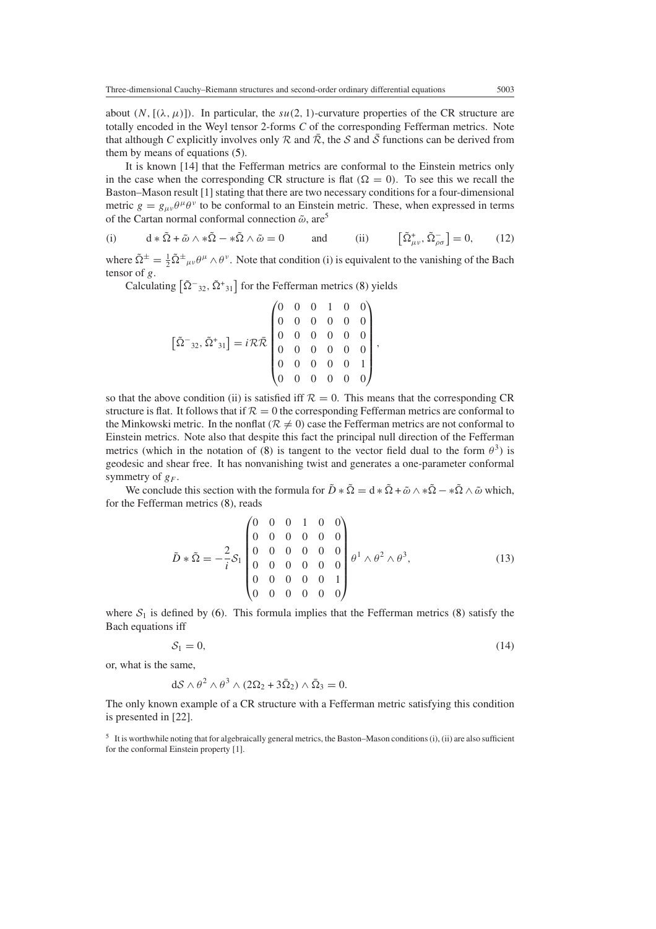about  $(N, [(\lambda, \mu)])$ . In particular, the *su*(2, 1)-curvature properties of the CR structure are totally encoded in the Weyl tensor 2-forms *C* of the corresponding Fefferman metrics. Note that although *C* explicitly involves only  $R$  and  $\overline{R}$ , the *S* and  $\overline{S}$  functions can be derived from them by means of equations [\(5\)](#page-5-1).

It is known [14] that the Fefferman metrics are conformal to the Einstein metrics only in the case when the corresponding CR structure is flat  $(Q = 0)$ . To see this we recall the Baston–Mason result [1] stating that there are two necessary conditions for a four-dimensional metric  $g = g_{\mu\nu}\theta^{\mu}\theta^{\nu}$  to be conformal to an Einstein metric. These, when expressed in terms of the Cartan normal conformal connection  $\tilde{\omega}$ , are<sup>5</sup>

<span id="page-8-0"></span>(i) 
$$
d * \tilde{\Omega} + \tilde{\omega} \wedge * \tilde{\Omega} - * \tilde{\Omega} \wedge \tilde{\omega} = 0
$$
 and (ii)  $\left[\tilde{\Omega}^+_{\mu\nu}, \tilde{\Omega}^-_{\rho\sigma}\right] = 0,$  (12)

where  $\tilde{\Omega}^{\pm} = \frac{1}{2} \tilde{\Omega}^{\pm}{}_{\mu\nu} \theta^{\mu} \wedge \theta^{\nu}$ . Note that condition (i) is equivalent to the vanishing of the Bach tensor of *g*.

Calculating  $\left[\tilde{\Omega}^{-}_{32}, \tilde{\Omega}^{+}_{31}\right]$  for the Fefferman metrics [\(8\)](#page-6-0) yields

$$
\left[\tilde{\Omega}^{-}{}_{32}, \tilde{\Omega}^{+}{}_{31}\right] = i\mathcal{R}\bar{\mathcal{R}}\begin{pmatrix} 0 & 0 & 0 & 1 & 0 & 0 \\ 0 & 0 & 0 & 0 & 0 & 0 \\ 0 & 0 & 0 & 0 & 0 & 0 \\ 0 & 0 & 0 & 0 & 0 & 0 \\ 0 & 0 & 0 & 0 & 0 & 1 \\ 0 & 0 & 0 & 0 & 0 & 0 \end{pmatrix}
$$

so that the above condition (ii) is satisfied iff  $\mathcal{R} = 0$ . This means that the corresponding CR structure is flat. It follows that if  $\mathcal{R} = 0$  the corresponding Fefferman metrics are conformal to the Minkowski metric. In the nonflat ( $R \neq 0$ ) case the Fefferman metrics are not conformal to Einstein metrics. Note also that despite this fact the principal null direction of the Fefferman metrics (which in the notation of [\(8\)](#page-6-0) is tangent to the vector field dual to the form  $\theta^3$ ) is geodesic and shear free. It has nonvanishing twist and generates a one-parameter conformal symmetry of  $g_F$ .

We conclude this section with the formula for  $\tilde{D} * \tilde{\Omega} = d * \tilde{\Omega} + \tilde{\omega} \wedge * \tilde{\Omega} - * \tilde{\Omega} \wedge \tilde{\omega}$  which, for the Fefferman metrics [\(8\)](#page-6-0), reads

$$
\tilde{D} * \tilde{\Omega} = -\frac{2}{i} S_1 \begin{pmatrix} 0 & 0 & 0 & 1 & 0 & 0 \\ 0 & 0 & 0 & 0 & 0 & 0 \\ 0 & 0 & 0 & 0 & 0 & 0 \\ 0 & 0 & 0 & 0 & 0 & 0 \\ 0 & 0 & 0 & 0 & 0 & 1 \\ 0 & 0 & 0 & 0 & 0 & 0 \end{pmatrix} \theta^1 \wedge \theta^2 \wedge \theta^3, \tag{13}
$$

*,*

where  $S_1$  is defined by [\(6\)](#page-5-2). This formula implies that the Fefferman metrics [\(8\)](#page-6-0) satisfy the Bach equations iff

$$
S_1 = 0,\t\t(14)
$$

or, what is the same,

$$
dS \wedge \theta^2 \wedge \theta^3 \wedge (2\Omega_2 + 3\overline{\Omega}_2) \wedge \overline{\Omega}_3 = 0.
$$

The only known example of a CR structure with a Fefferman metric satisfying this condition is presented in [22].

<sup>5</sup> It is worthwhile noting that for algebraically general metrics, the Baston–Mason conditions (i), (ii) are also sufficient for the conformal Einstein property [1].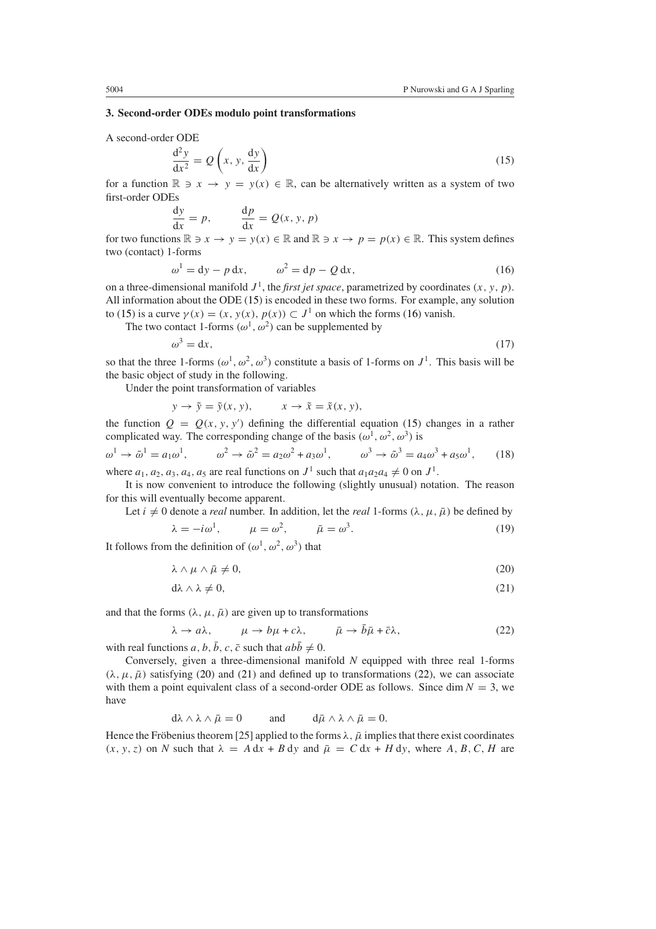## **3. Second-order ODEs modulo point transformations**

<span id="page-9-0"></span>A second-order ODE

$$
\frac{d^2y}{dx^2} = Q\left(x, y, \frac{dy}{dx}\right)
$$
 (15)

for a function  $\mathbb{R} \ni x \to y = y(x) \in \mathbb{R}$ , can be alternatively written as a system of two first-order ODEs

$$
\frac{dy}{dx} = p, \qquad \frac{dp}{dx} = Q(x, y, p)
$$

<span id="page-9-1"></span>for two functions  $\mathbb{R} \ni x \to y = y(x) \in \mathbb{R}$  and  $\mathbb{R} \ni x \to p = p(x) \in \mathbb{R}$ . This system defines two (contact) 1-forms

$$
\omega^1 = dy - p dx, \qquad \omega^2 = dp - Q dx,
$$
 (16)

on a three-dimensional manifold  $J^1$ , the *first jet space*, parametrized by coordinates  $(x, y, p)$ . All information about the ODE [\(15\)](#page-9-0) is encoded in these two forms. For example, any solution to [\(15\)](#page-9-0) is a curve  $\gamma(x) = (x, y(x), p(x)) \subset J^1$  on which the forms [\(16\)](#page-9-1) vanish.

The two contact 1-forms  $(\omega^1, \omega^2)$  can be supplemented by  $\omega^3 = dx$ ,

$$
(17)
$$

so that the three 1-forms  $(\omega^1, \omega^2, \omega^3)$  constitute a basis of 1-forms on  $J^1$ . This basis will be the basic object of study in the following.

Under the point transformation of variables

$$
y \to \tilde{y} = \tilde{y}(x, y), \qquad x \to \tilde{x} = \tilde{x}(x, y),
$$

the function  $Q = Q(x, y, y')$  defining the differential equation [\(15\)](#page-9-0) changes in a rather complicated way. The corresponding change of the basis  $(\omega^1, \omega^2, \omega^3)$  is

<span id="page-9-5"></span>
$$
\omega^{1} \to \tilde{\omega}^{1} = a_{1}\omega^{1}, \qquad \omega^{2} \to \tilde{\omega}^{2} = a_{2}\omega^{2} + a_{3}\omega^{1}, \qquad \omega^{3} \to \tilde{\omega}^{3} = a_{4}\omega^{3} + a_{5}\omega^{1}, \qquad (18)
$$

where  $a_1, a_2, a_3, a_4, a_5$  are real functions on  $J^1$  such that  $a_1a_2a_4 \neq 0$  on  $J^1$ .

It is now convenient to introduce the following (slightly unusual) notation. The reason for this will eventually become apparent.

Let  $i \neq 0$  denote a *real* number. In addition, let the *real* 1-forms  $(\lambda, \mu, \bar{\mu})$  be defined by

$$
\lambda = -i\omega^1, \qquad \mu = \omega^2, \qquad \bar{\mu} = \omega^3. \tag{19}
$$

<span id="page-9-3"></span><span id="page-9-2"></span>It follows from the definition of  $(\omega^1, \omega^2, \omega^3)$  that

$$
\lambda \wedge \mu \wedge \bar{\mu} \neq 0,\tag{20}
$$

$$
d\lambda \wedge \lambda \neq 0,\tag{21}
$$

<span id="page-9-4"></span>and that the forms  $(\lambda, \mu, \bar{\mu})$  are given up to transformations

$$
\lambda \to a\lambda, \qquad \mu \to b\mu + c\lambda, \qquad \bar{\mu} \to \bar{b}\bar{\mu} + \bar{c}\lambda, \tag{22}
$$

with real functions *a*, *b*,  $\bar{b}$ , *c*,  $\bar{c}$  such that  $ab\bar{b} \neq 0$ .

Conversely, given a three-dimensional manifold *N* equipped with three real 1-forms  $(\lambda, \mu, \bar{\mu})$  satisfying [\(20\)](#page-9-2) and [\(21\)](#page-9-3) and defined up to transformations [\(22\)](#page-9-4), we can associate with them a point equivalent class of a second-order ODE as follows. Since dim  $N = 3$ , we have

$$
d\lambda \wedge \lambda \wedge \bar{\mu} = 0
$$
 and  $d\bar{\mu} \wedge \lambda \wedge \bar{\mu} = 0$ .

Hence the Fröbenius theorem [25] applied to the forms  $\lambda$ ,  $\bar{\mu}$  implies that there exist coordinates  $(x, y, z)$  on *N* such that  $\lambda = A dx + B dy$  and  $\overline{\mu} = C dx + H dy$ , where *A, B, C, H* are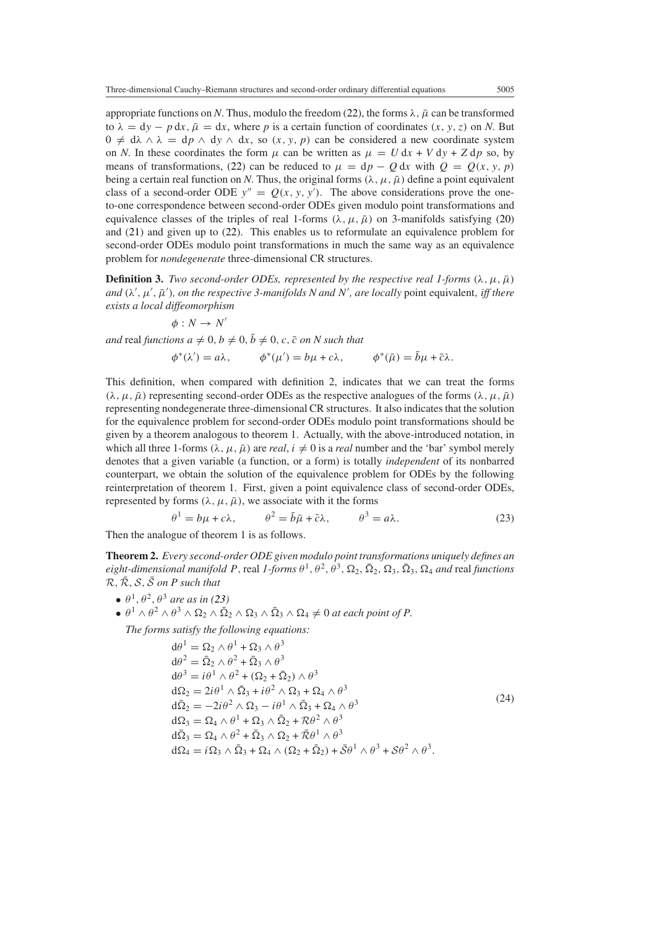appropriate functions on *N*. Thus, modulo the freedom [\(22\)](#page-9-4), the forms  $\lambda$ ,  $\bar{\mu}$  can be transformed to  $\lambda = dy - p dx$ ,  $\bar{\mu} = dx$ , where p is a certain function of coordinates  $(x, y, z)$  on N. But  $0 \neq d\lambda \wedge \lambda = dp \wedge dy \wedge dx$ , so  $(x, y, p)$  can be considered a new coordinate system on *N*. In these coordinates the form  $\mu$  can be written as  $\mu = U dx + V dy + Z dp$  so, by means of transformations, [\(22\)](#page-9-4) can be reduced to  $\mu = dp - Q dx$  with  $Q = Q(x, y, p)$ being a certain real function on *N*. Thus, the original forms  $(\lambda, \mu, \bar{\mu})$  define a point equivalent class of a second-order ODE  $y'' = Q(x, y, y')$ . The above considerations prove the oneto-one correspondence between second-order ODEs given modulo point transformations and equivalence classes of the triples of real 1-forms  $(\lambda, \mu, \bar{\mu})$  on 3-manifolds satisfying [\(20\)](#page-9-2) and [\(21\)](#page-9-3) and given up to [\(22\)](#page-9-4). This enables us to reformulate an equivalence problem for second-order ODEs modulo point transformations in much the same way as an equivalence problem for *nondegenerate* three-dimensional CR structures.

**Definition 3.** *Two second-order ODEs, represented by the respective real 1-forms*  $(\lambda, \mu, \bar{\mu})$  $and$   $(\lambda', \mu', \bar{\mu}')$ , on the respective 3-manifolds N and N', are locally point equivalent, *iff there exists a local diffeomorphism*

$$
\phi:N\to N'
$$

 $and$  real *functions*  $a \neq 0$ ,  $b \neq 0$ ,  $\overline{b} \neq 0$ ,  $c$ ,  $\overline{c}$  *on* N such that

$$
\phi^*(\lambda') = a\lambda, \qquad \phi^*(\mu') = b\mu + c\lambda, \qquad \phi^*(\bar{\mu}) = \bar{b}\mu + \bar{c}\lambda.
$$

This definition, when compared with definition 2, indicates that we can treat the forms  $(\lambda, \mu, \bar{\mu})$  representing second-order ODEs as the respective analogues of the forms  $(\lambda, \mu, \bar{\mu})$ representing nondegenerate three-dimensional CR structures. It also indicates that the solution for the equivalence problem for second-order ODEs modulo point transformations should be given by a theorem analogous to theorem 1. Actually, with the above-introduced notation, in which all three 1-forms  $(\lambda, \mu, \bar{\mu})$  are *real*,  $i \neq 0$  is a *real* number and the 'bar' symbol merely denotes that a given variable (a function, or a form) is totally *independent* of its nonbarred counterpart, we obtain the solution of the equivalence problem for ODEs by the following reinterpretation of theorem 1. First, given a point equivalence class of second-order ODEs, represented by forms  $(\lambda, \mu, \bar{\mu})$ , we associate with it the forms

$$
\theta^1 = b\mu + c\lambda, \qquad \theta^2 = \bar{b}\bar{\mu} + \bar{c}\lambda, \qquad \theta^3 = a\lambda.
$$
 (23)

<span id="page-10-0"></span>Then the analogue of theorem 1 is as follows.

**Theorem 2.** *Every second-order ODE given modulo point transformations uniquely defines an*  $e$ *ight-dimensional manifold P*, real *1-forms*  $\theta^1$ ,  $\theta^2$ ,  $\theta^3$ ,  $\Omega_2$ ,  $\overline{\Omega}_2$ ,  $\overline{\Omega}_3$ ,  $\overline{\Omega}_4$  and real *functions*  $\mathcal{R}, \overline{\mathcal{R}}, \mathcal{S}, \overline{\mathcal{S}}$  *on P such that* 

- $\theta^1$ ,  $\theta^2$ ,  $\theta^3$  *are as in [\(23\)](#page-10-0)*
- $\bullet$   $\theta^1 \wedge \theta^2 \wedge \theta^3 \wedge \Omega_2 \wedge \overline{\Omega}_2 \wedge \Omega_3 \wedge \overline{\Omega}_3 \wedge \Omega_4 \neq 0$  at each point of P.

<span id="page-10-1"></span>*The forms satisfy the following equations:*

$$
d\theta^{1} = \Omega_{2} \wedge \theta^{1} + \Omega_{3} \wedge \theta^{3}
$$
  
\n
$$
d\theta^{2} = \overline{\Omega}_{2} \wedge \theta^{2} + \overline{\Omega}_{3} \wedge \theta^{3}
$$
  
\n
$$
d\theta^{3} = i\theta^{1} \wedge \theta^{2} + (\Omega_{2} + \overline{\Omega}_{2}) \wedge \theta^{3}
$$
  
\n
$$
d\Omega_{2} = 2i\theta^{1} \wedge \overline{\Omega}_{3} + i\theta^{2} \wedge \Omega_{3} + \Omega_{4} \wedge \theta^{3}
$$
  
\n
$$
d\overline{\Omega}_{2} = -2i\theta^{2} \wedge \Omega_{3} - i\theta^{1} \wedge \overline{\Omega}_{3} + \Omega_{4} \wedge \theta^{3}
$$
  
\n
$$
d\Omega_{3} = \Omega_{4} \wedge \theta^{1} + \Omega_{3} \wedge \overline{\Omega}_{2} + \Omega\theta^{2} \wedge \theta^{3}
$$
  
\n
$$
d\overline{\Omega}_{3} = \Omega_{4} \wedge \theta^{2} + \overline{\Omega}_{3} \wedge \Omega_{2} + \overline{\Omega}\theta^{1} \wedge \theta^{3}
$$
  
\n
$$
d\Omega_{4} = i\Omega_{3} \wedge \overline{\Omega}_{3} + \Omega_{4} \wedge (\Omega_{2} + \overline{\Omega}_{2}) + \overline{S}\theta^{1} \wedge \theta^{3} + S\theta^{2} \wedge \theta^{3}.
$$
\n(24)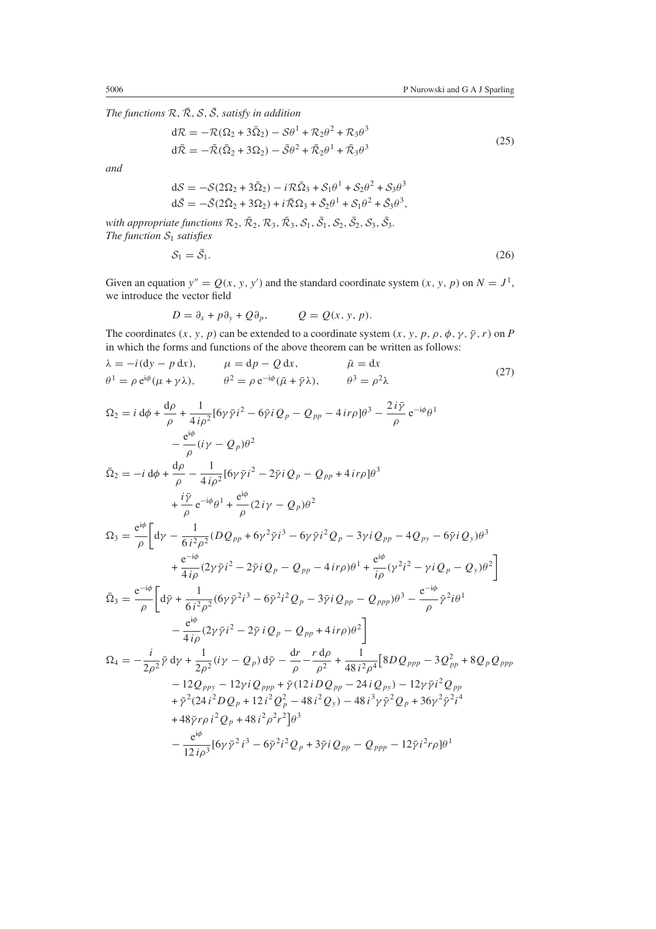*The functions*  $\mathcal{R}, \overline{\mathcal{R}}, \mathcal{S}, \overline{\mathcal{S}}$ *, satisfy in addition* 

$$
d\mathcal{R} = -\mathcal{R}(\Omega_2 + 3\bar{\Omega}_2) - S\theta^1 + \mathcal{R}_2\theta^2 + \mathcal{R}_3\theta^3
$$
  
\n
$$
d\bar{\mathcal{R}} = -\bar{\mathcal{R}}(\bar{\Omega}_2 + 3\Omega_2) - \bar{S}\theta^2 + \bar{\mathcal{R}}_2\theta^1 + \bar{\mathcal{R}}_3\theta^3
$$
\n(25)

*and*

$$
dS = -S(2\Omega_2 + 3\overline{\Omega}_2) - iR\overline{\Omega}_3 + S_1\theta^1 + S_2\theta^2 + S_3\theta^3
$$
  

$$
d\overline{S} = -\overline{S}(2\overline{\Omega}_2 + 3\Omega_2) + iR\overline{\Omega}_3 + \overline{S}_2\theta^1 + S_1\theta^2 + \overline{S}_3\theta^3,
$$

*with appropriate functions*  $\mathcal{R}_2$ ,  $\bar{\mathcal{R}}_2$ ,  $\mathcal{R}_3$ ,  $\bar{\mathcal{R}}_3$ ,  $\mathcal{S}_1$ ,  $\bar{\mathcal{S}}_1$ ,  $\mathcal{S}_2$ ,  $\bar{\mathcal{S}}_3$ ,  $\bar{\mathcal{S}}_3$ . *The function*  $S_1$  *satisfies* 

$$
S_1 = \bar{S}_1. \tag{26}
$$

Given an equation  $y'' = Q(x, y, y')$  and the standard coordinate system  $(x, y, p)$  on  $N = J<sup>1</sup>$ , we introduce the vector field

$$
D = \partial_x + p \partial_y + Q \partial_p, \qquad Q = Q(x, y, p).
$$

The coordinates  $(x, y, p)$  can be extended to a coordinate system  $(x, y, p, \rho, \phi, \gamma, \bar{\gamma}, r)$  on *P* in which the forms and functions of the above theorem can be written as follows:

<span id="page-11-0"></span>
$$
\lambda = -i(\mathrm{d}y - p \,\mathrm{d}x), \qquad \mu = \mathrm{d}p - Q \,\mathrm{d}x, \qquad \bar{\mu} = \mathrm{d}x \n\theta^1 = \rho \,\mathrm{e}^{\mathrm{i}\phi}(\mu + \gamma \lambda), \qquad \theta^2 = \rho \,\mathrm{e}^{-\mathrm{i}\phi}(\bar{\mu} + \bar{\gamma}\lambda), \qquad \theta^3 = \rho^2 \lambda
$$
\n(27)

<span id="page-11-1"></span>
$$
\Omega_{2} = i d\phi + \frac{d\rho}{\rho} + \frac{1}{4i\rho^{2}} [6\gamma \bar{\gamma} i^{2} - 6\bar{\gamma} i Q_{p} - Q_{pp} - 4 i r\rho] \theta^{3} - \frac{2 i \bar{\gamma}}{\rho} e^{-i\phi} \theta^{1}
$$
\n
$$
- \frac{e^{i\phi}}{\rho} (i\gamma - Q_{p}) \theta^{2}
$$
\n
$$
\bar{\Omega}_{2} = -i d\phi + \frac{d\rho}{\rho} - \frac{1}{4i\rho^{2}} [6\gamma \bar{\gamma} i^{2} - 2\bar{\gamma} i Q_{p} - Q_{pp} + 4 i r\rho] \theta^{3}
$$
\n
$$
+ \frac{i \bar{\gamma}}{\rho} e^{-i\phi} \theta^{1} + \frac{e^{i\phi}}{\rho} (2 i \gamma - Q_{p}) \theta^{2}
$$
\n
$$
\Omega_{3} = \frac{e^{i\phi}}{\rho} \Big[ d\gamma - \frac{1}{6i^{2}\rho^{2}} (D Q_{pp} + 6\gamma^{2} \bar{\gamma} i^{3} - 6\gamma \bar{\gamma} i^{2} Q_{p} - 3\gamma i Q_{pp} - 4 Q_{py} - 6\bar{\gamma} i Q_{y}) \theta^{3}
$$
\n
$$
+ \frac{e^{-i\phi}}{4i\rho} (2\gamma \bar{\gamma} i^{2} - 2\bar{\gamma} i Q_{p} - Q_{pp} - 4 i r\rho) \theta^{1} + \frac{e^{i\phi}}{i\rho} (\gamma^{2} i^{2} - \gamma i Q_{p} - Q_{y}) \theta^{2} \Big]
$$
\n
$$
\bar{\Omega}_{3} = \frac{e^{-i\phi}}{\rho} \Big[ d\bar{\gamma} + \frac{1}{6i^{2}\rho^{2}} (6\gamma \bar{\gamma}^{2} i^{3} - 6\bar{\gamma}^{2} i^{2} Q_{p} - 3\bar{\gamma} i Q_{pp} - Q_{ppp}) \theta^{3} - \frac{e^{-i\phi}}{\rho} \bar{\gamma}^{2} i \theta^{1}
$$
\n
$$
- \frac{e^{i\phi}}{4i\rho} (2\gamma \bar{\gamma} i^{2} - 2\bar{\gamma} i Q_{p} - Q_{pp} + 4 i r\rho) \theta^{2} \Big]
$$
\n
$$
\Omega_{4} = -\frac{i}{2\rho^{2}}
$$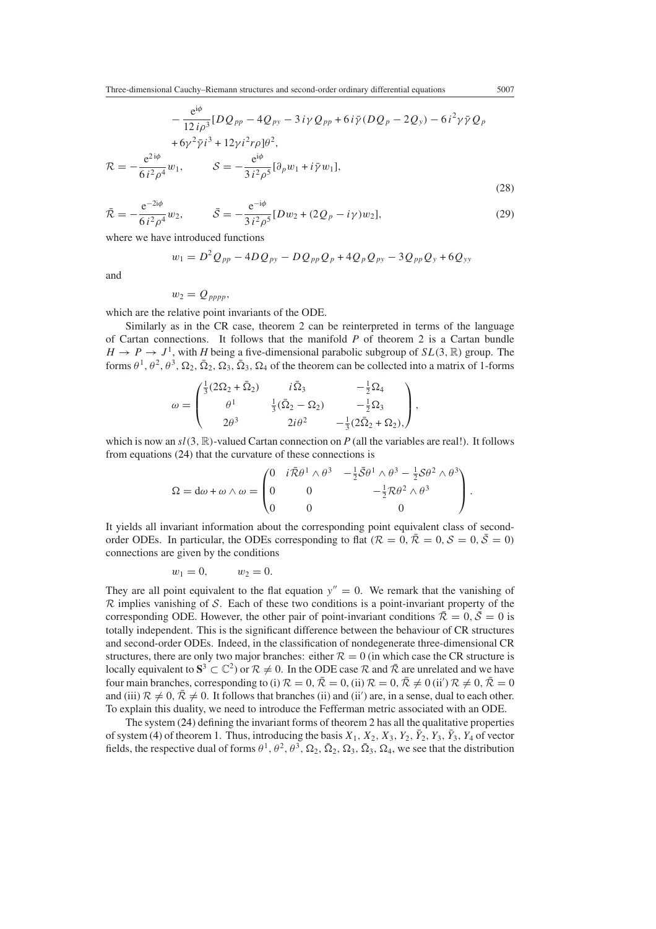Three-dimensional Cauchy–Riemann structures and second-order ordinary differential equations 5007

$$
-\frac{e^{i\phi}}{12 i \rho^3} [DQ_{pp} - 4Q_{py} - 3 i\gamma Q_{pp} + 6 i \bar{\gamma} (DQ_p - 2Q_y) - 6 i^2 \gamma \bar{\gamma} Q_p + 6 \gamma^2 \bar{\gamma} i^3 + 12 \gamma i^2 r \rho ]\theta^2, \mathcal{R} = -\frac{e^{2 i\phi}}{6 i^2 \rho^4} w_1, \qquad \mathcal{S} = -\frac{e^{i\phi}}{3 i^2 \rho^5} [\partial_p w_1 + i \bar{\gamma} w_1],
$$
\n(28)

<span id="page-12-0"></span>
$$
\bar{\mathcal{R}} = -\frac{e^{-2i\phi}}{6\,i^2\rho^4}w_2, \qquad \bar{\mathcal{S}} = -\frac{e^{-i\phi}}{3\,i^2\rho^5}[Dw_2 + (2Q_p - i\gamma)w_2],\tag{29}
$$

where we have introduced functions

$$
w_1 = D^2 Q_{pp} - 4D Q_{py} - D Q_{pp} Q_p + 4Q_p Q_{py} - 3Q_{pp} Q_y + 6Q_{yy}
$$

and

$$
w_2=Q_{pppp},
$$

which are the relative point invariants of the ODE.

Similarly as in the CR case, theorem 2 can be reinterpreted in terms of the language of Cartan connections. It follows that the manifold *P* of theorem 2 is a Cartan bundle  $H \to P \to J^1$ , with *H* being a five-dimensional parabolic subgroup of  $SL(3, \mathbb{R})$  group. The forms  $\theta^1$ ,  $\theta^2$ ,  $\theta^3$ ,  $\Omega_2$ ,  $\overline{\Omega}_2$ ,  $\Omega_3$ ,  $\overline{\Omega}_3$ ,  $\Omega_4$  of the theorem can be collected into a matrix of 1-forms

$$
\omega = \begin{pmatrix} \frac{1}{3} (2\Omega_2 + \bar{\Omega}_2) & i\bar{\Omega}_3 & -\frac{1}{2}\Omega_4 \\ \theta^1 & \frac{1}{3} (\bar{\Omega}_2 - \Omega_2) & -\frac{1}{2}\Omega_3 \\ 2\theta^3 & 2i\theta^2 & -\frac{1}{3} (2\bar{\Omega}_2 + \Omega_2), \end{pmatrix},
$$

which is now an  $sl(3, \mathbb{R})$ -valued Cartan connection on *P* (all the variables are real!). It follows from equations [\(24\)](#page-10-1) that the curvature of these connections is

$$
\Omega = d\omega + \omega \wedge \omega = \begin{pmatrix} 0 & i\overline{\mathcal{R}}\theta^1 \wedge \theta^3 & -\frac{1}{2}\overline{\mathcal{S}}\theta^1 \wedge \theta^3 - \frac{1}{2}\mathcal{S}\theta^2 \wedge \theta^3 \\ 0 & 0 & -\frac{1}{2}\mathcal{R}\theta^2 \wedge \theta^3 \\ 0 & 0 & 0 \end{pmatrix}.
$$

It yields all invariant information about the corresponding point equivalent class of secondorder ODEs. In particular, the ODEs corresponding to flat  $(R = 0, \overline{R} = 0, \mathcal{S} = 0, \overline{S} = 0)$ connections are given by the conditions

$$
w_1=0, \qquad w_2=0.
$$

They are all point equivalent to the flat equation  $y'' = 0$ . We remark that the vanishing of  $\mathcal R$  implies vanishing of  $\mathcal S$ . Each of these two conditions is a point-invariant property of the corresponding ODE. However, the other pair of point-invariant conditions  $\bar{\mathcal{R}} = 0, \bar{\mathcal{S}} = 0$  is totally independent. This is the significant difference between the behaviour of CR structures and second-order ODEs. Indeed, in the classification of nondegenerate three-dimensional CR structures, there are only two major branches: either  $R = 0$  (in which case the CR structure is locally equivalent to  $S^3 \subset \mathbb{C}^2$ ) or  $\mathcal{R} \neq 0$ . In the ODE case  $\mathcal R$  and  $\bar{\mathcal{R}}$  are unrelated and we have four main branches, corresponding to (i)  $R = 0$ ,  $\bar{R} = 0$ , (ii)  $R = 0$ ,  $\bar{R} \neq 0$  (ii')  $R \neq 0$ ,  $\bar{R} = 0$ and (iii)  $\mathcal{R} \neq 0$ ,  $\bar{\mathcal{R}} \neq 0$ . It follows that branches (ii) and (ii') are, in a sense, dual to each other. To explain this duality, we need to introduce the Fefferman metric associated with an ODE.

The system [\(24\)](#page-10-1) defining the invariant forms of theorem 2 has all the qualitative properties of system [\(4\)](#page-5-0) of theorem 1. Thus, introducing the basis  $X_1, X_2, X_3, Y_2, \overline{Y}_2, Y_3, \overline{Y}_3, Y_4$  of vector fields, the respective dual of forms  $\theta^1$ ,  $\theta^2$ ,  $\theta^3$ ,  $\Omega_2$ ,  $\overline{\Omega}_2$ ,  $\Omega_3$ ,  $\overline{\Omega}_3$ ,  $\Omega_4$ , we see that the distribution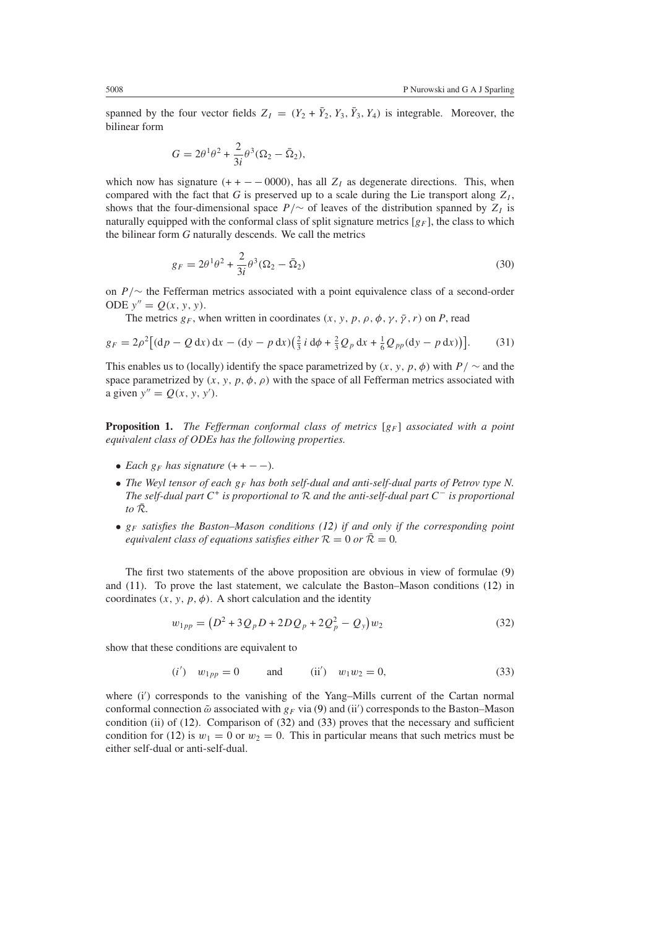spanned by the four vector fields  $Z_I = (Y_2 + \bar{Y}_2, Y_3, \bar{Y}_3, Y_4)$  is integrable. Moreover, the bilinear form

$$
G = 2\theta^1\theta^2 + \frac{2}{3i}\theta^3(\Omega_2 - \bar{\Omega}_2),
$$

which now has signature  $(+ + -0000)$ , has all  $Z<sub>I</sub>$  as degenerate directions. This, when compared with the fact that  $G$  is preserved up to a scale during the Lie transport along  $Z_I$ , shows that the four-dimensional space  $P/\sim$  of leaves of the distribution spanned by  $Z_I$  is naturally equipped with the conformal class of split signature metrics  $[g_F]$ , the class to which the bilinear form *G* naturally descends. We call the metrics

$$
g_F = 2\theta^1\theta^2 + \frac{2}{3i}\theta^3(\Omega_2 - \bar{\Omega}_2)
$$
\n(30)

on *P /*∼ the Fefferman metrics associated with a point equivalence class of a second-order ODE  $y'' = Q(x, y, y)$ .

The metrics  $g_F$ , when written in coordinates  $(x, y, p, \rho, \phi, \gamma, \bar{\gamma}, r)$  on *P*, read

<span id="page-13-2"></span>
$$
g_F = 2\rho^2 \left[ (\mathrm{d}p - Q \, \mathrm{d}x) \, \mathrm{d}x - (\mathrm{d}y - p \, \mathrm{d}x) \left( \frac{2}{3} \, i \, \mathrm{d}\phi + \frac{2}{3} \, Q_p \, \mathrm{d}x + \frac{1}{6} \, Q_{pp} (\mathrm{d}y - p \, \mathrm{d}x) \right) \right]. \tag{31}
$$

This enables us to (locally) identify the space parametrized by  $(x, y, p, \phi)$  with  $P / \sim$  and the space parametrized by  $(x, y, p, \phi, \rho)$  with the space of all Fefferman metrics associated with a given  $y'' = Q(x, y, y')$ .

**Proposition 1.** *The Fefferman conformal class of metrics* [ $g_F$ ] *associated with a point equivalent class of ODEs has the following properties.*

- *Each*  $g_F$  *has signature*  $(+ + -)$ *.*
- The Weyl tensor of each  $g_F$  has both self-dual and anti-self-dual parts of Petrov type N. *The self-dual part <sup>C</sup>*<sup>+</sup> *is proportional to* <sup>R</sup> *and the anti-self-dual part <sup>C</sup>*<sup>−</sup> *is proportional to*  $\bar{\mathcal{R}}$ *.*
- *gF satisfies the Baston–Mason conditions [\(12\)](#page-8-0) if and only if the corresponding point equivalent class of equations satisfies either*  $R = 0$  *or*  $\overline{R} = 0$ *.*

<span id="page-13-0"></span>The first two statements of the above proposition are obvious in view of formulae [\(9\)](#page-7-0) and [\(11\)](#page-7-1). To prove the last statement, we calculate the Baston–Mason conditions [\(12\)](#page-8-0) in coordinates  $(x, y, p, \phi)$ . A short calculation and the identity

$$
w_{1pp} = (D^2 + 3Q_p D + 2DQ_p + 2Q_p^2 - Q_y)w_2
$$
\n(32)

<span id="page-13-1"></span>show that these conditions are equivalent to

$$
(i') \t w_{1pp} = 0 \t and \t (ii') \t w_1 w_2 = 0,
$$
\t(33)

where (i') corresponds to the vanishing of the Yang-Mills current of the Cartan normal conformal connection  $\tilde{\omega}$  associated with *g<sub>F</sub>* via [\(9\)](#page-7-0) and (ii') corresponds to the Baston–Mason condition (ii) of [\(12\)](#page-8-0). Comparison of [\(32\)](#page-13-0) and [\(33\)](#page-13-1) proves that the necessary and sufficient condition for [\(12\)](#page-8-0) is  $w_1 = 0$  or  $w_2 = 0$ . This in particular means that such metrics must be either self-dual or anti-self-dual.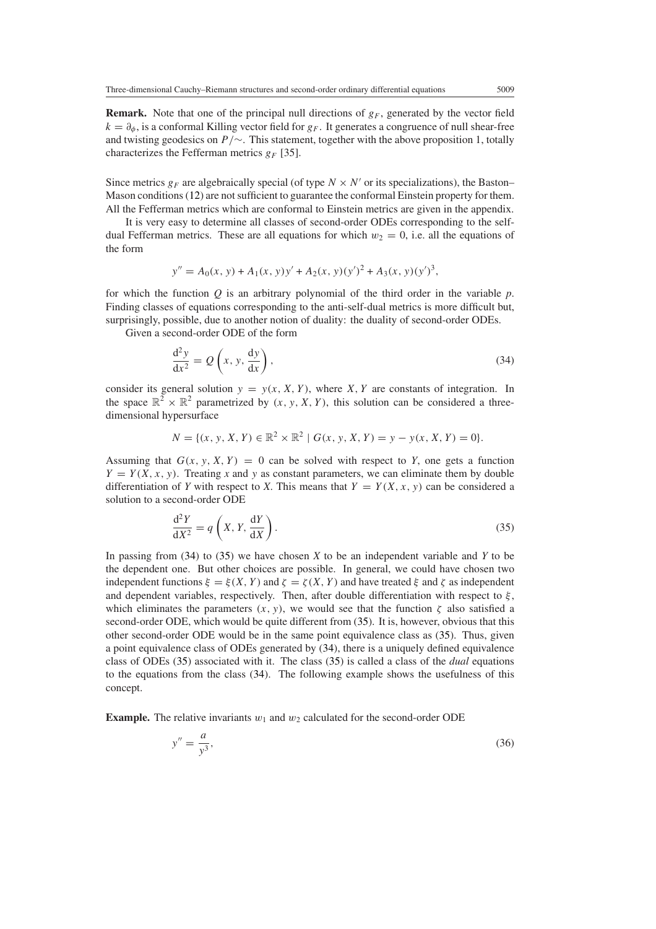**Remark.** Note that one of the principal null directions of  $g_F$ , generated by the vector field  $k = \partial_{\phi}$ , is a conformal Killing vector field for  $g_F$ . It generates a congruence of null shear-free and twisting geodesics on *P /*∼. This statement, together with the above proposition 1, totally characterizes the Fefferman metrics  $g_F$  [35].

Since metrics  $g_F$  are algebraically special (of type  $N \times N'$  or its specializations), the Baston– Mason conditions [\(12\)](#page-8-0) are not sufficient to guarantee the conformal Einstein property for them. All the Fefferman metrics which are conformal to Einstein metrics are given in the appendix.

It is very easy to determine all classes of second-order ODEs corresponding to the selfdual Fefferman metrics. These are all equations for which  $w_2 = 0$ , i.e. all the equations of the form

$$
y'' = A_0(x, y) + A_1(x, y)y' + A_2(x, y)(y')^2 + A_3(x, y)(y')^3,
$$

for which the function *Q* is an arbitrary polynomial of the third order in the variable *p*. Finding classes of equations corresponding to the anti-self-dual metrics is more difficult but, surprisingly, possible, due to another notion of duality: the duality of second-order ODEs.

<span id="page-14-0"></span>Given a second-order ODE of the form

$$
\frac{d^2y}{dx^2} = Q\left(x, y, \frac{dy}{dx}\right),\tag{34}
$$

consider its general solution  $y = y(x, X, Y)$ , where *X*, *Y* are constants of integration. In the space  $\mathbb{R}^2 \times \mathbb{R}^2$  parametrized by  $(x, y, X, Y)$ , this solution can be considered a threedimensional hypersurface

$$
N = \{(x, y, X, Y) \in \mathbb{R}^2 \times \mathbb{R}^2 \mid G(x, y, X, Y) = y - y(x, X, Y) = 0\}.
$$

Assuming that  $G(x, y, X, Y) = 0$  can be solved with respect to *Y*, one gets a function  $Y = Y(X, x, y)$ . Treating *x* and *y* as constant parameters, we can eliminate them by double differentiation of *Y* with respect to *X*. This means that  $Y = Y(X, x, y)$  can be considered a solution to a second-order ODE

$$
\frac{d^2Y}{dX^2} = q\left(X, Y, \frac{dY}{dX}\right). \tag{35}
$$

<span id="page-14-1"></span>In passing from [\(34\)](#page-14-0) to [\(35\)](#page-14-1) we have chosen *X* to be an independent variable and *Y* to be the dependent one. But other choices are possible. In general, we could have chosen two independent functions  $\xi = \xi(X, Y)$  and  $\zeta = \zeta(X, Y)$  and have treated  $\xi$  and  $\zeta$  as independent and dependent variables, respectively. Then, after double differentiation with respect to *ξ* , which eliminates the parameters  $(x, y)$ , we would see that the function  $\zeta$  also satisfied a second-order ODE, which would be quite different from [\(35\)](#page-14-1). It is, however, obvious that this other second-order ODE would be in the same point equivalence class as [\(35\)](#page-14-1). Thus, given a point equivalence class of ODEs generated by [\(34\)](#page-14-0), there is a uniquely defined equivalence class of ODEs [\(35\)](#page-14-1) associated with it. The class [\(35\)](#page-14-1) is called a class of the *dual* equations to the equations from the class [\(34\)](#page-14-0). The following example shows the usefulness of this concept.

<span id="page-14-2"></span>**Example.** The relative invariants  $w_1$  and  $w_2$  calculated for the second-order ODE

$$
y'' = \frac{a}{y^3},\tag{36}
$$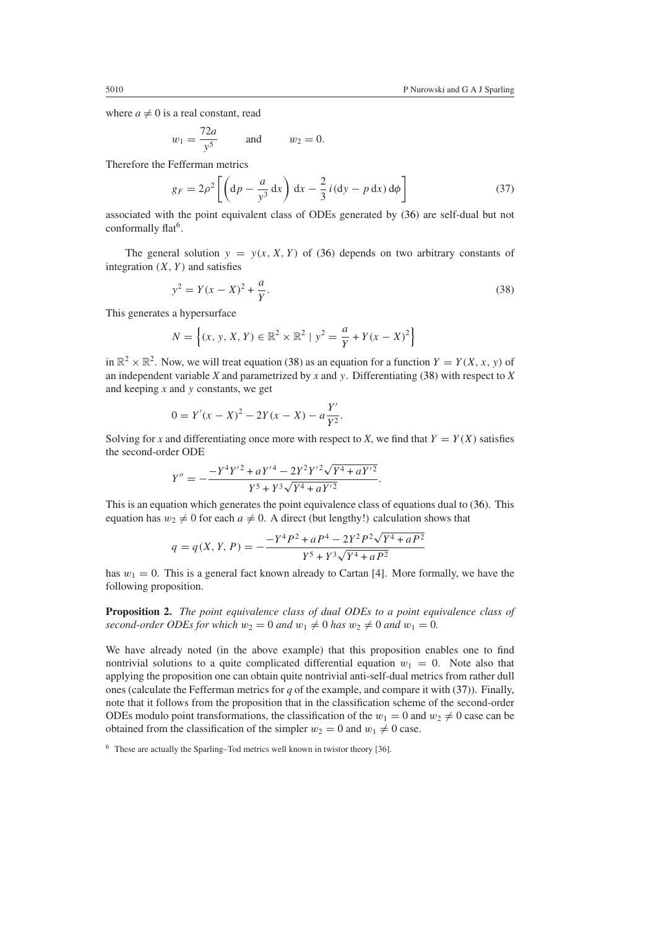where  $a \neq 0$  is a real constant, read

$$
w_1 = \frac{72a}{y^5} \qquad \text{and} \qquad w_2 = 0.
$$

<span id="page-15-1"></span>Therefore the Fefferman metrics

$$
g_F = 2\rho^2 \left[ \left( \mathrm{d}p - \frac{a}{y^3} \, \mathrm{d}x \right) \, \mathrm{d}x - \frac{2}{3} \, i \left( \mathrm{d}y - p \, \mathrm{d}x \right) \mathrm{d}\phi \right] \tag{37}
$$

associated with the point equivalent class of ODEs generated by [\(36\)](#page-14-2) are self-dual but not conformally flat<sup>6</sup>.

<span id="page-15-0"></span>The general solution  $y = y(x, X, Y)$  of [\(36\)](#page-14-2) depends on two arbitrary constants of integration  $(X, Y)$  and satisfies

$$
y^2 = Y(x - X)^2 + \frac{a}{Y}.
$$
\n(38)

This generates a hypersurface

$$
N = \left\{ (x, y, X, Y) \in \mathbb{R}^2 \times \mathbb{R}^2 \mid y^2 = \frac{a}{Y} + Y(x - X)^2 \right\}
$$

in  $\mathbb{R}^2 \times \mathbb{R}^2$ . Now, we will treat equation [\(38\)](#page-15-0) as an equation for a function  $Y = Y(X, x, y)$  of an independent variable *X* and parametrized by *x* and *y*. Differentiating [\(38\)](#page-15-0) with respect to *X* and keeping *x* and *y* constants, we get

$$
0 = Y'(x - X)^2 - 2Y(x - X) - a\frac{Y'}{Y^2}.
$$

Solving for *x* and differentiating once more with respect to *X*, we find that  $Y = Y(X)$  satisfies the second-order ODE

$$
Y'' = -\frac{-Y^4Y'^2 + aY'^4 - 2Y^2Y'^2\sqrt{Y^4 + aY'^2}}{Y^5 + Y^3\sqrt{Y^4 + aY'^2}}.
$$

This is an equation which generates the point equivalence class of equations dual to [\(36\)](#page-14-2). This equation has  $w_2 \neq 0$  for each  $a \neq 0$ . A direct (but lengthy!) calculation shows that

$$
q = q(X, Y, P) = -\frac{-Y^4 P^2 + aP^4 - 2Y^2 P^2 \sqrt{Y^4 + aP^2}}{Y^5 + Y^3 \sqrt{Y^4 + aP^2}}
$$

has  $w_1 = 0$ . This is a general fact known already to Cartan [4]. More formally, we have the following proposition.

**Proposition 2.** *The point equivalence class of dual ODEs to a point equivalence class of* second-order ODEs for which  $w_2 = 0$  and  $w_1 \neq 0$  has  $w_2 \neq 0$  and  $w_1 = 0$ .

We have already noted (in the above example) that this proposition enables one to find nontrivial solutions to a quite complicated differential equation  $w_1 = 0$ . Note also that applying the proposition one can obtain quite nontrivial anti-self-dual metrics from rather dull ones (calculate the Fefferman metrics for *q* of the example, and compare it with [\(37\)](#page-15-1)). Finally, note that it follows from the proposition that in the classification scheme of the second-order ODEs modulo point transformations, the classification of the  $w_1 = 0$  and  $w_2 \neq 0$  case can be obtained from the classification of the simpler  $w_2 = 0$  and  $w_1 \neq 0$  case.

<sup>6</sup> These are actually the Sparling–Tod metrics well known in twistor theory [36].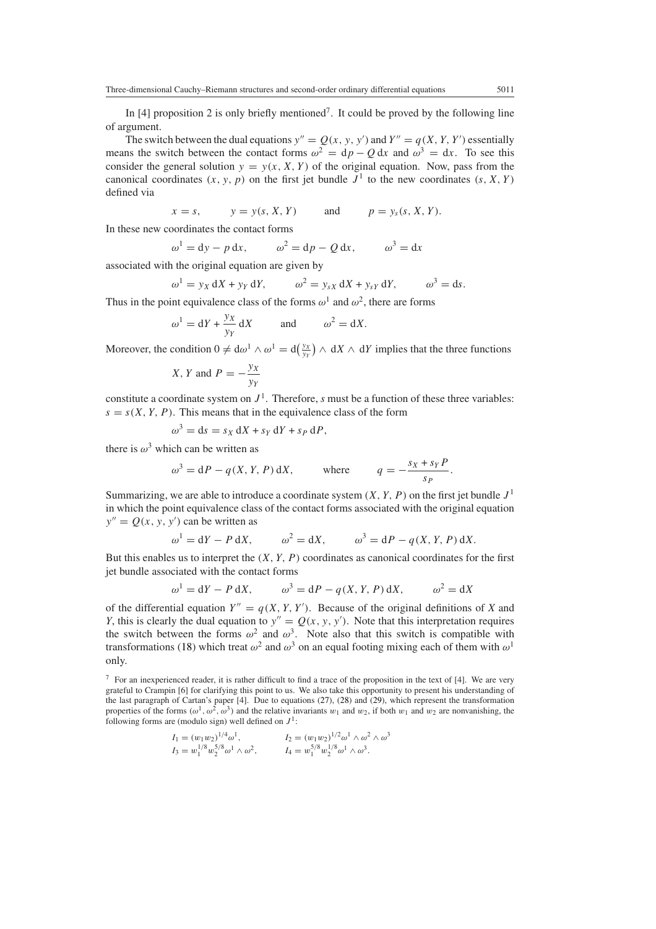In [4] proposition 2 is only briefly mentioned<sup>7</sup>. It could be proved by the following line of argument.

The switch between the dual equations  $y'' = Q(x, y, y')$  and  $Y'' = q(X, Y, Y')$  essentially means the switch between the contact forms  $\omega^2 = dp - Q dx$  and  $\omega^3 = dx$ . To see this consider the general solution  $y = y(x, X, Y)$  of the original equation. Now, pass from the canonical coordinates  $(x, y, p)$  on the first jet bundle  $J<sup>1</sup>$  to the new coordinates  $(s, X, Y)$ defined via

 $x = s$ ,  $y = y(s, X, Y)$  and  $p = y_s(s, X, Y)$ .

In these new coordinates the contact forms

$$
\omega^1 = dy - p dx, \qquad \omega^2 = dp - Q dx, \qquad \omega^3 = dx
$$

associated with the original equation are given by

$$
\omega^1 = y_X dX + y_Y dY, \qquad \omega^2 = y_{sX} dX + y_{sY} dY, \qquad \omega^3 = ds.
$$

Thus in the point equivalence class of the forms  $\omega^1$  and  $\omega^2$ , there are forms

$$
\omega^1 = dY + \frac{y_X}{y_Y} dX
$$
 and  $\omega^2 = dX$ .

Moreover, the condition  $0 \neq d\omega^1 \wedge \omega^1 = d(\frac{y_X}{y_Y}) \wedge dX \wedge dY$  implies that the three functions

X, Y and 
$$
P = -\frac{y_X}{y_Y}
$$

constitute a coordinate system on  $J<sup>1</sup>$ . Therefore, *s* must be a function of these three variables:  $s = s(X, Y, P)$ . This means that in the equivalence class of the form

$$
\omega^3 = ds = s_X dX + s_Y dY + s_P dP,
$$

there is  $\omega^3$  which can be written as

$$
\omega^3 = dP - q(X, Y, P) dX, \qquad \text{where} \qquad q = -\frac{s_X + s_Y P}{s_P}.
$$

Summarizing, we are able to introduce a coordinate system  $(X, Y, P)$  on the first jet bundle  $J<sup>1</sup>$ in which the point equivalence class of the contact forms associated with the original equation  $y'' = Q(x, y, y')$  can be written as

$$
\omega^1 = dY - P dX, \qquad \omega^2 = dX, \qquad \omega^3 = dP - q(X, Y, P) dX.
$$

But this enables us to interpret the *(X, Y,P)* coordinates as canonical coordinates for the first jet bundle associated with the contact forms

$$
\omega^1 = dY - P dX, \qquad \omega^3 = dP - q(X, Y, P) dX, \qquad \omega^2 = dX
$$

of the differential equation  $Y'' = q(X, Y, Y')$ . Because of the original definitions of X and *Y*, this is clearly the dual equation to  $y'' = Q(x, y, y')$ . Note that this interpretation requires the switch between the forms  $\omega^2$  and  $\omega^3$ . Note also that this switch is compatible with transformations [\(18\)](#page-9-5) which treat  $\omega^2$  and  $\omega^3$  on an equal footing mixing each of them with  $\omega^1$ only.

$$
I_1 = (w_1 w_2)^{1/4} \omega^1, \qquad I_2 = (w_1 w_2)^{1/2} \omega^1 \wedge \omega^2 \wedge \omega^3
$$
  
\n
$$
I_3 = w_1^{1/8} w_2^{5/8} \omega^1 \wedge \omega^2, \qquad I_4 = w_1^{5/8} w_2^{1/8} \omega^1 \wedge \omega^3.
$$

<sup>7</sup> For an inexperienced reader, it is rather difficult to find a trace of the proposition in the text of [4]. We are very grateful to Crampin [6] for clarifying this point to us. We also take this opportunity to present his understanding of the last paragraph of Cartan's paper [4]. Due to equations [\(27\)](#page-11-0), [\(28\)](#page-11-1) and [\(29\)](#page-12-0), which represent the transformation properties of the forms  $(\omega^1, \omega^2, \omega^3)$  and the relative invariants  $w_1$  and  $w_2$ , if both  $w_1$  and  $w_2$  are nonvanishing, the following forms are (modulo sign) well defined on  $J^1$ :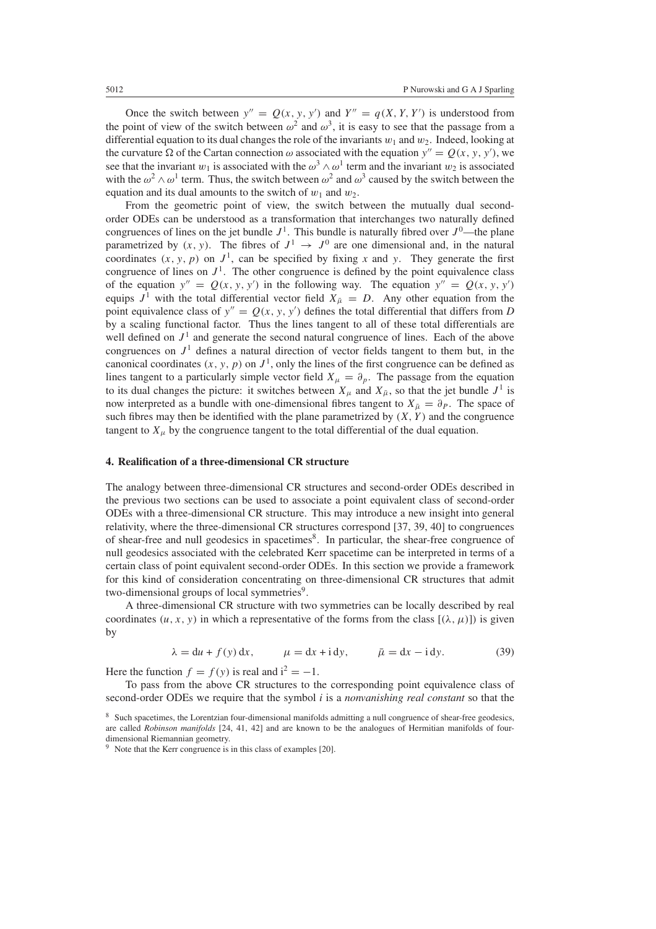Once the switch between  $y'' = Q(x, y, y')$  and  $Y'' = q(X, Y, Y')$  is understood from the point of view of the switch between  $\omega^2$  and  $\omega^3$ , it is easy to see that the passage from a differential equation to its dual changes the role of the invariants  $w_1$  and  $w_2$ . Indeed, looking at the curvature  $\Omega$  of the Cartan connection  $\omega$  associated with the equation  $y'' = Q(x, y, y')$ , we see that the invariant *w*<sub>1</sub> is associated with the  $\omega^3 \wedge \omega^1$  term and the invariant *w*<sub>2</sub> is associated with the  $\omega^2 \wedge \omega^1$  term. Thus, the switch between  $\omega^2$  and  $\omega^3$  caused by the switch between the equation and its dual amounts to the switch of  $w_1$  and  $w_2$ .

From the geometric point of view, the switch between the mutually dual secondorder ODEs can be understood as a transformation that interchanges two naturally defined congruences of lines on the jet bundle  $J^1$ . This bundle is naturally fibred over  $J^0$ —the plane parametrized by  $(x, y)$ . The fibres of  $J^1 \rightarrow J^0$  are one dimensional and, in the natural coordinates  $(x, y, p)$  on  $J<sup>1</sup>$ , can be specified by fixing *x* and *y*. They generate the first congruence of lines on  $J<sup>1</sup>$ . The other congruence is defined by the point equivalence class of the equation  $y'' = Q(x, y, y')$  in the following way. The equation  $y'' = Q(x, y, y')$ equips  $J^1$  with the total differential vector field  $X_{\bar{\mu}} = D$ . Any other equation from the point equivalence class of  $y'' = Q(x, y, y')$  defines the total differential that differs from *D* by a scaling functional factor. Thus the lines tangent to all of these total differentials are well defined on  $J<sup>1</sup>$  and generate the second natural congruence of lines. Each of the above congruences on  $J<sup>1</sup>$  defines a natural direction of vector fields tangent to them but, in the canonical coordinates  $(x, y, p)$  on  $J<sup>1</sup>$ , only the lines of the first congruence can be defined as lines tangent to a particularly simple vector field  $X_\mu = \partial_\rho$ . The passage from the equation to its dual changes the picture: it switches between  $X_\mu$  and  $X_{\bar{\mu}}$ , so that the jet bundle  $J^1$  is now interpreted as a bundle with one-dimensional fibres tangent to  $X_{\bar{\mu}} = \partial_P$ . The space of such fibres may then be identified with the plane parametrized by  $(X, Y)$  and the congruence tangent to  $X_{\mu}$  by the congruence tangent to the total differential of the dual equation.

## **4. Realification of a three-dimensional CR structure**

The analogy between three-dimensional CR structures and second-order ODEs described in the previous two sections can be used to associate a point equivalent class of second-order ODEs with a three-dimensional CR structure. This may introduce a new insight into general relativity, where the three-dimensional CR structures correspond [37, 39, 40] to congruences of shear-free and null geodesics in spacetimes<sup>8</sup>. In particular, the shear-free congruence of null geodesics associated with the celebrated Kerr spacetime can be interpreted in terms of a certain class of point equivalent second-order ODEs. In this section we provide a framework for this kind of consideration concentrating on three-dimensional CR structures that admit two-dimensional groups of local symmetries<sup>9</sup>.

A three-dimensional CR structure with two symmetries can be locally described by real coordinates  $(u, x, y)$  in which a representative of the forms from the class  $[(\lambda, \mu)]$  is given by

$$
\lambda = du + f(y) dx, \qquad \mu = dx + idy, \qquad \bar{\mu} = dx - idy.
$$
 (39)

<span id="page-17-0"></span>Here the function  $f = f(y)$  is real and  $i^2 = -1$ .

To pass from the above CR structures to the corresponding point equivalence class of second-order ODEs we require that the symbol *i* is a *nonvanishing real constant* so that the

<sup>8</sup> Such spacetimes, the Lorentzian four-dimensional manifolds admitting a null congruence of shear-free geodesics, are called *Robinson manifolds* [24, 41, 42] and are known to be the analogues of Hermitian manifolds of fourdimensional Riemannian geometry.

 $9\text{ Note that the Kerr congruence is in this class of examples [20].}$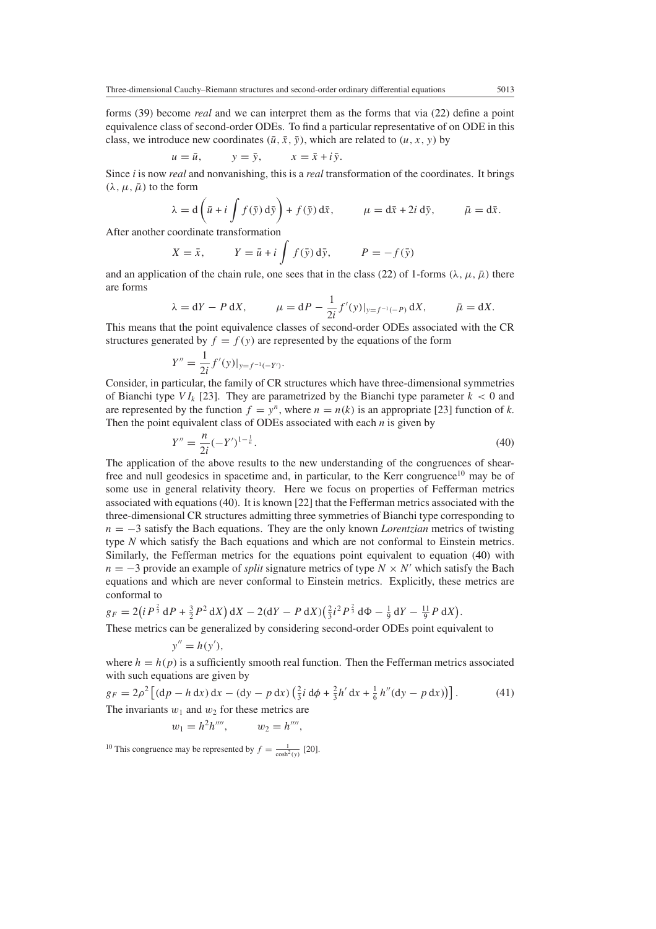forms [\(39\)](#page-17-0) become *real* and we can interpret them as the forms that via [\(22\)](#page-9-4) define a point equivalence class of second-order ODEs. To find a particular representative of on ODE in this class, we introduce new coordinates  $(\bar{u}, \bar{x}, \bar{y})$ , which are related to  $(u, x, y)$  by

$$
u = \bar{u}, \qquad y = \bar{y}, \qquad x = \bar{x} + i\bar{y}.
$$

Since *i* is now *real* and nonvanishing, this is a *real* transformation of the coordinates. It brings  $(\lambda, \mu, \bar{\mu})$  to the form

$$
\lambda = d\left(\bar{u} + i \int f(\bar{y}) d\bar{y}\right) + f(\bar{y}) d\bar{x}, \qquad \mu = d\bar{x} + 2i d\bar{y}, \qquad \bar{\mu} = d\bar{x}.
$$

After another coordinate transformation

$$
X = \bar{x}, \qquad Y = \bar{u} + i \int f(\bar{y}) d\bar{y}, \qquad P = -f(\bar{y})
$$

and an application of the chain rule, one sees that in the class [\(22\)](#page-9-4) of 1-forms  $(\lambda, \mu, \bar{\mu})$  there are forms

$$
\lambda = dY - P dX
$$
,  $\mu = dP - \frac{1}{2i} f'(y)|_{y=f^{-1}(-P)} dX$ ,  $\bar{\mu} = dX$ .

This means that the point equivalence classes of second-order ODEs associated with the CR structures generated by  $f = f(y)$  are represented by the equations of the form

$$
Y'' = \frac{1}{2i} f'(y)|_{y = f^{-1}(-Y')}.
$$

Consider, in particular, the family of CR structures which have three-dimensional symmetries of Bianchi type  $VI_k$  [23]. They are parametrized by the Bianchi type parameter  $k < 0$  and are represented by the function  $f = y^n$ , where  $n = n(k)$  is an appropriate [23] function of *k*. Then the point equivalent class of ODEs associated with each *n* is given by

$$
Y'' = \frac{n}{2i}(-Y')^{1-\frac{1}{n}}.\tag{40}
$$

<span id="page-18-0"></span>The application of the above results to the new understanding of the congruences of shearfree and null geodesics in spacetime and, in particular, to the Kerr congruence<sup>10</sup> may be of some use in general relativity theory. Here we focus on properties of Fefferman metrics associated with equations [\(40\)](#page-18-0). It is known [22] that the Fefferman metrics associated with the three-dimensional CR structures admitting three symmetries of Bianchi type corresponding to *n* = −3 satisfy the Bach equations. They are the only known *Lorentzian* metrics of twisting type *N* which satisfy the Bach equations and which are not conformal to Einstein metrics. Similarly, the Fefferman metrics for the equations point equivalent to equation [\(40\)](#page-18-0) with *n* = −3 provide an example of *split* signature metrics of type  $N \times N'$  which satisfy the Bach equations and which are never conformal to Einstein metrics. Explicitly, these metrics are conformal to

$$
g_F = 2(iP^{\frac{2}{3}} dP + \frac{3}{2}P^2 dX) dX - 2(dY - P dX) (\frac{2}{3}i^2 P^{\frac{2}{3}} d\Phi - \frac{1}{9} dY - \frac{11}{9}P dX).
$$

These metrics can be generalized by considering second-order ODEs point equivalent to

$$
y'' = h(y'),
$$

where  $h = h(p)$  is a sufficiently smooth real function. Then the Fefferman metrics associated with such equations are given by

<span id="page-18-1"></span>
$$
g_F = 2\rho^2 \left[ (\mathrm{d}p - h \, \mathrm{d}x) \, \mathrm{d}x - (\mathrm{d}y - p \, \mathrm{d}x) \left( \frac{2}{3}i \, \mathrm{d}\phi + \frac{2}{3}h' \, \mathrm{d}x + \frac{1}{6}h''(\mathrm{d}y - p \, \mathrm{d}x) \right) \right]. \tag{41}
$$
\nThe invariants  $w_1$  and  $w_2$  for these metrics are

$$
w_1 = h^2 h''''', \qquad w_2 = h''''',
$$

<sup>10</sup> This congruence may be represented by  $f = \frac{1}{\cosh^2(y)}$  [20].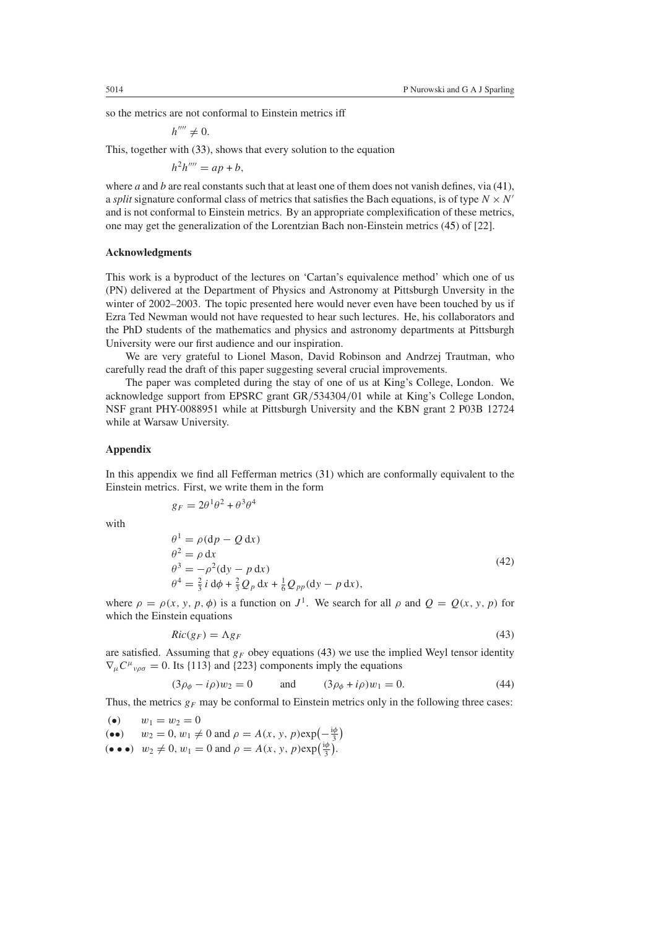so the metrics are not conformal to Einstein metrics iff

$$
h^{\prime\prime\prime\prime}\neq 0.
$$

This, together with [\(33\)](#page-13-1), shows that every solution to the equation

$$
h^2h'''' = ap + b,
$$

where *a* and *b* are real constants such that at least one of them does not vanish defines, via [\(41\)](#page-18-1), a *split* signature conformal class of metrics that satisfies the Bach equations, is of type  $N \times N'$ and is not conformal to Einstein metrics. By an appropriate complexification of these metrics, one may get the generalization of the Lorentzian Bach non-Einstein metrics [\(45\)](#page-20-0) of [22].

#### **Acknowledgments**

This work is a byproduct of the lectures on 'Cartan's equivalence method' which one of us (PN) delivered at the Department of Physics and Astronomy at Pittsburgh Unversity in the winter of 2002–2003. The topic presented here would never even have been touched by us if Ezra Ted Newman would not have requested to hear such lectures. He, his collaborators and the PhD students of the mathematics and physics and astronomy departments at Pittsburgh University were our first audience and our inspiration.

We are very grateful to Lionel Mason, David Robinson and Andrzej Trautman, who carefully read the draft of this paper suggesting several crucial improvements.

The paper was completed during the stay of one of us at King's College, London. We acknowledge support from EPSRC grant GR*/*534304*/*01 while at King's College London, NSF grant PHY-0088951 while at Pittsburgh University and the KBN grant 2 P03B 12724 while at Warsaw University.

# **Appendix**

In this appendix we find all Fefferman metrics [\(31\)](#page-13-2) which are conformally equivalent to the Einstein metrics. First, we write them in the form

$$
g_F = 2\theta^1\theta^2 + \theta^3\theta^4
$$

<span id="page-19-1"></span>with

$$
\begin{aligned}\n\theta^1 &= \rho(\mathrm{d}p - Q \,\mathrm{d}x) \\
\theta^2 &= \rho \,\mathrm{d}x \\
\theta^3 &= -\rho^2(\mathrm{d}y - p \,\mathrm{d}x) \\
\theta^4 &= \frac{2}{3}i \,\mathrm{d}\phi + \frac{2}{3}Q_p \,\mathrm{d}x + \frac{1}{6}Q_{pp}(\mathrm{d}y - p \,\mathrm{d}x),\n\end{aligned} \tag{42}
$$

<span id="page-19-0"></span>where  $\rho = \rho(x, y, p, \phi)$  is a function on  $J^1$ . We search for all  $\rho$  and  $Q = Q(x, y, p)$  for which the Einstein equations

$$
Ric(g_F) = \Lambda g_F \tag{43}
$$

are satisfied. Assuming that  $g_F$  obey equations [\(43\)](#page-19-0) we use the implied Weyl tensor identity  $\nabla_{\mu} C^{\mu}{}_{\nu\rho\sigma} = 0$ . Its {113} and {223} components imply the equations

$$
(3\rho_{\phi} - i\rho)w_2 = 0 \qquad \text{and} \qquad (3\rho_{\phi} + i\rho)w_1 = 0. \tag{44}
$$

Thus, the metrics  $g_F$  may be conformal to Einstein metrics only in the following three cases:

 $(w_1 = w_2 = 0)$ (••)  $w_2 = 0, w_1 \neq 0 \text{ and } \rho = A(x, y, p) \exp\left(-\frac{i\phi}{3}\right)$  $(v \bullet \bullet) \quad w_2 \neq 0, w_1 = 0 \text{ and } \rho = A(x, y, p) \exp(\frac{i\phi}{3}).$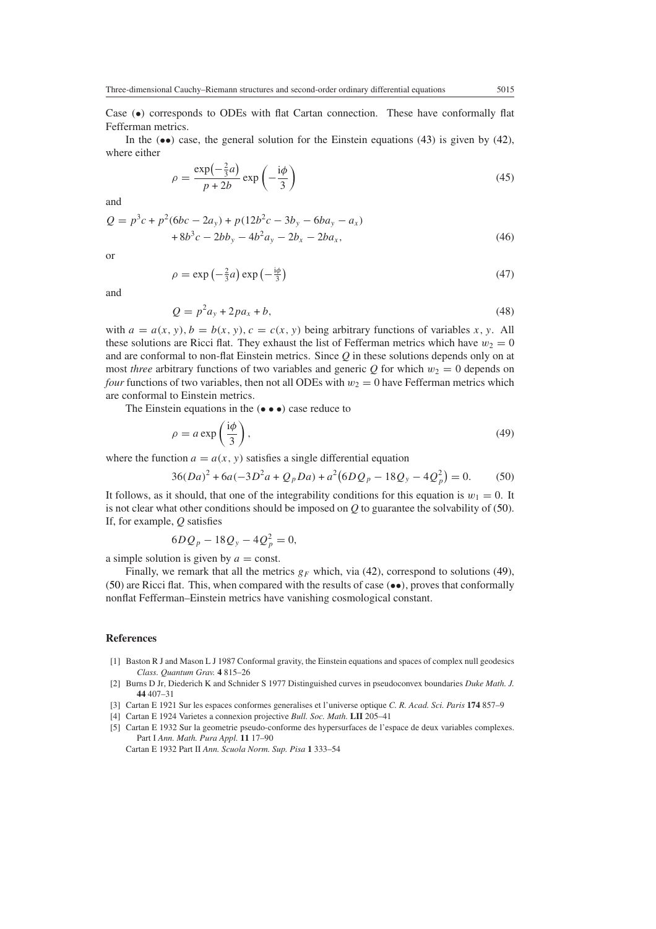Case *(*•*)* corresponds to ODEs with flat Cartan connection. These have conformally flat Fefferman metrics.

<span id="page-20-0"></span>In the  $(\bullet\bullet)$  case, the general solution for the Einstein equations [\(43\)](#page-19-0) is given by [\(42\)](#page-19-1), where either

$$
\rho = \frac{\exp(-\frac{2}{3}a)}{p+2b} \exp\left(-\frac{i\phi}{3}\right)
$$
\n(45)

and

$$
Q = p3c + p2(6bc - 2ay) + p(12b2c - 3by - 6bay - ax) + 8b3c - 2bby - 4b2ay - 2bx - 2bax,
$$
 (46)

or

$$
\rho = \exp\left(-\frac{2}{3}a\right)\exp\left(-\frac{\mathrm{i}\phi}{3}\right) \tag{47}
$$

and

$$
Q = p^2 a_y + 2p a_x + b,\tag{48}
$$

with  $a = a(x, y)$ ,  $b = b(x, y)$ ,  $c = c(x, y)$  being arbitrary functions of variables *x*, *y*. All these solutions are Ricci flat. They exhaust the list of Fefferman metrics which have  $w_2 = 0$ and are conformal to non-flat Einstein metrics. Since *Q* in these solutions depends only on at most *three* arbitrary functions of two variables and generic  $Q$  for which  $w_2 = 0$  depends on *four* functions of two variables, then not all ODEs with  $w_2 = 0$  have Fefferman metrics which are conformal to Einstein metrics.

<span id="page-20-2"></span>The Einstein equations in the *(*•••*)* case reduce to

$$
\rho = a \exp\left(\frac{\mathrm{i}\phi}{3}\right),\tag{49}
$$

<span id="page-20-1"></span>where the function  $a = a(x, y)$  satisfies a single differential equation

$$
36(Da)^{2} + 6a(-3D^{2}a + Q_{p}Da) + a^{2}(6DQ_{p} - 18Q_{y} - 4Q_{p}^{2}) = 0.
$$
 (50)

It follows, as it should, that one of the integrability conditions for this equation is  $w_1 = 0$ . It is not clear what other conditions should be imposed on *Q* to guarantee the solvability of [\(50\)](#page-20-1). If, for example, *Q* satisfies

$$
6DQ_p - 18Q_y - 4Q_p^2 = 0,
$$

a simple solution is given by  $a = \text{const.}$ 

Finally, we remark that all the metrics  $g_F$  which, via [\(42\)](#page-19-1), correspond to solutions [\(49\)](#page-20-2), [\(50\)](#page-20-1) are Ricci flat. This, when compared with the results of case *(*••*)*, proves that conformally nonflat Fefferman–Einstein metrics have vanishing cosmological constant.

## **References**

- [1] Baston R J and Mason L J 1987 Conformal gravity, the Einstein equations and spaces of complex null geodesics *Class. Quantum Grav.* **4** 815–26
- [2] Burns D Jr, Diederich K and Schnider S 1977 Distinguished curves in pseudoconvex boundaries *Duke Math. J.* **44** 407–31
- [3] Cartan E 1921 Sur les espaces conformes generalises et l'universe optique *C. R. Acad. Sci. Paris* **174** 857–9
- [4] Cartan E 1924 Varietes a connexion projective *Bull. Soc. Math.* **LII** 205–41
- [5] Cartan E 1932 Sur la geometrie pseudo-conforme des hypersurfaces de l'espace de deux variables complexes. Part I *Ann. Math. Pura Appl.* **11** 17–90 Cartan E 1932 Part II *Ann. Scuola Norm. Sup. Pisa* **1** 333–54